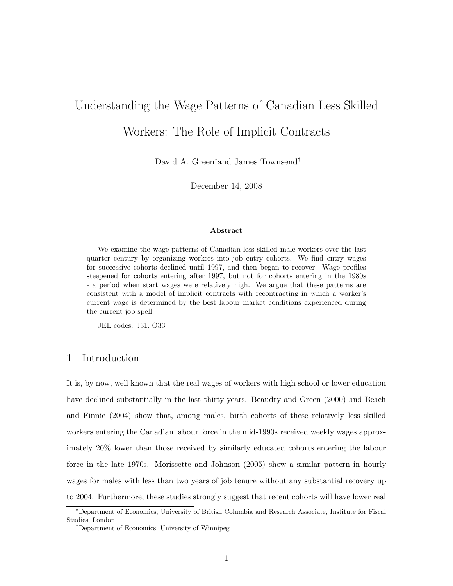# Understanding the Wage Patterns of Canadian Less Skilled

Workers: The Role of Implicit Contracts

David A. Green<sup>∗</sup>and James Townsend<sup>†</sup>

December 14, 2008

#### Abstract

We examine the wage patterns of Canadian less skilled male workers over the last quarter century by organizing workers into job entry cohorts. We find entry wages for successive cohorts declined until 1997, and then began to recover. Wage profiles steepened for cohorts entering after 1997, but not for cohorts entering in the 1980s - a period when start wages were relatively high. We argue that these patterns are consistent with a model of implicit contracts with recontracting in which a worker's current wage is determined by the best labour market conditions experienced during the current job spell.

JEL codes: J31, O33

# 1 Introduction

It is, by now, well known that the real wages of workers with high school or lower education have declined substantially in the last thirty years. Beaudry and Green (2000) and Beach and Finnie (2004) show that, among males, birth cohorts of these relatively less skilled workers entering the Canadian labour force in the mid-1990s received weekly wages approximately 20% lower than those received by similarly educated cohorts entering the labour force in the late 1970s. Morissette and Johnson (2005) show a similar pattern in hourly wages for males with less than two years of job tenure without any substantial recovery up to 2004. Furthermore, these studies strongly suggest that recent cohorts will have lower real

<sup>∗</sup>Department of Economics, University of British Columbia and Research Associate, Institute for Fiscal Studies, London

<sup>†</sup>Department of Economics, University of Winnipeg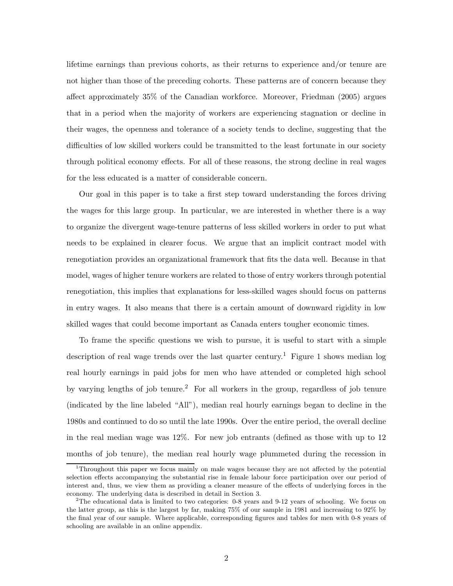lifetime earnings than previous cohorts, as their returns to experience and/or tenure are not higher than those of the preceding cohorts. These patterns are of concern because they affect approximately 35% of the Canadian workforce. Moreover, Friedman (2005) argues that in a period when the majority of workers are experiencing stagnation or decline in their wages, the openness and tolerance of a society tends to decline, suggesting that the difficulties of low skilled workers could be transmitted to the least fortunate in our society through political economy effects. For all of these reasons, the strong decline in real wages for the less educated is a matter of considerable concern.

Our goal in this paper is to take a first step toward understanding the forces driving the wages for this large group. In particular, we are interested in whether there is a way to organize the divergent wage-tenure patterns of less skilled workers in order to put what needs to be explained in clearer focus. We argue that an implicit contract model with renegotiation provides an organizational framework that fits the data well. Because in that model, wages of higher tenure workers are related to those of entry workers through potential renegotiation, this implies that explanations for less-skilled wages should focus on patterns in entry wages. It also means that there is a certain amount of downward rigidity in low skilled wages that could become important as Canada enters tougher economic times.

To frame the specific questions we wish to pursue, it is useful to start with a simple description of real wage trends over the last quarter century.<sup>1</sup> Figure 1 shows median log real hourly earnings in paid jobs for men who have attended or completed high school by varying lengths of job tenure.<sup>2</sup> For all workers in the group, regardless of job tenure (indicated by the line labeled "All"), median real hourly earnings began to decline in the 1980s and continued to do so until the late 1990s. Over the entire period, the overall decline in the real median wage was 12%. For new job entrants (defined as those with up to 12 months of job tenure), the median real hourly wage plummeted during the recession in

<sup>&</sup>lt;sup>1</sup>Throughout this paper we focus mainly on male wages because they are not affected by the potential selection effects accompanying the substantial rise in female labour force participation over our period of interest and, thus, we view them as providing a cleaner measure of the effects of underlying forces in the economy. The underlying data is described in detail in Section 3.

<sup>&</sup>lt;sup>2</sup>The educational data is limited to two categories: 0-8 years and 9-12 years of schooling. We focus on the latter group, as this is the largest by far, making 75% of our sample in 1981 and increasing to 92% by the final year of our sample. Where applicable, corresponding figures and tables for men with 0-8 years of schooling are available in an online appendix.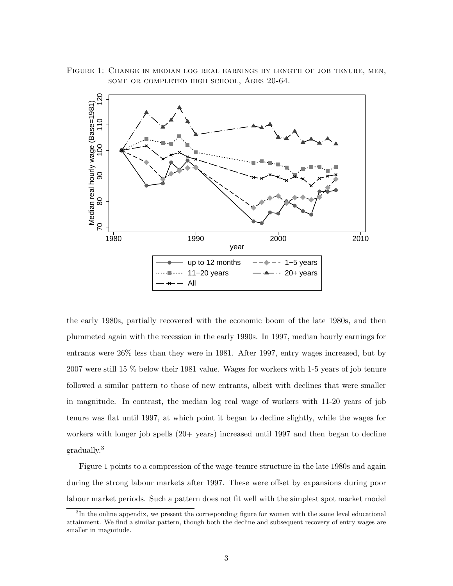Figure 1: Change in median log real earnings by length of job tenure, men, some or completed high school, Ages 20-64.



the early 1980s, partially recovered with the economic boom of the late 1980s, and then plummeted again with the recession in the early 1990s. In 1997, median hourly earnings for entrants were 26% less than they were in 1981. After 1997, entry wages increased, but by 2007 were still 15 % below their 1981 value. Wages for workers with 1-5 years of job tenure followed a similar pattern to those of new entrants, albeit with declines that were smaller in magnitude. In contrast, the median log real wage of workers with 11-20 years of job tenure was flat until 1997, at which point it began to decline slightly, while the wages for workers with longer job spells (20+ years) increased until 1997 and then began to decline gradually.<sup>3</sup>

Figure 1 points to a compression of the wage-tenure structure in the late 1980s and again during the strong labour markets after 1997. These were offset by expansions during poor labour market periods. Such a pattern does not fit well with the simplest spot market model

<sup>&</sup>lt;sup>3</sup>In the online appendix, we present the corresponding figure for women with the same level educational attainment. We find a similar pattern, though both the decline and subsequent recovery of entry wages are smaller in magnitude.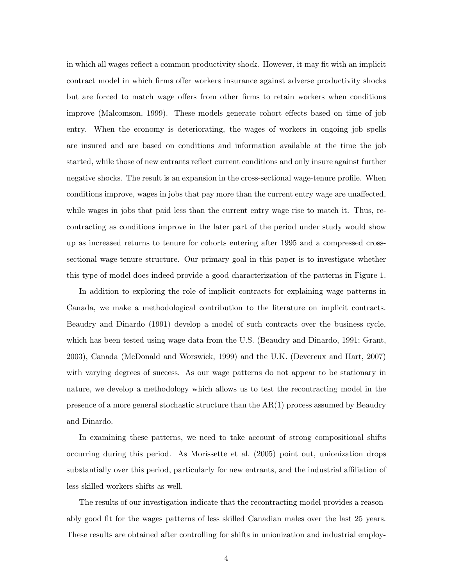in which all wages reflect a common productivity shock. However, it may fit with an implicit contract model in which firms offer workers insurance against adverse productivity shocks but are forced to match wage offers from other firms to retain workers when conditions improve (Malcomson, 1999). These models generate cohort effects based on time of job entry. When the economy is deteriorating, the wages of workers in ongoing job spells are insured and are based on conditions and information available at the time the job started, while those of new entrants reflect current conditions and only insure against further negative shocks. The result is an expansion in the cross-sectional wage-tenure profile. When conditions improve, wages in jobs that pay more than the current entry wage are unaffected, while wages in jobs that paid less than the current entry wage rise to match it. Thus, recontracting as conditions improve in the later part of the period under study would show up as increased returns to tenure for cohorts entering after 1995 and a compressed crosssectional wage-tenure structure. Our primary goal in this paper is to investigate whether this type of model does indeed provide a good characterization of the patterns in Figure 1.

In addition to exploring the role of implicit contracts for explaining wage patterns in Canada, we make a methodological contribution to the literature on implicit contracts. Beaudry and Dinardo (1991) develop a model of such contracts over the business cycle, which has been tested using wage data from the U.S. (Beaudry and Dinardo, 1991; Grant, 2003), Canada (McDonald and Worswick, 1999) and the U.K. (Devereux and Hart, 2007) with varying degrees of success. As our wage patterns do not appear to be stationary in nature, we develop a methodology which allows us to test the recontracting model in the presence of a more general stochastic structure than the AR(1) process assumed by Beaudry and Dinardo.

In examining these patterns, we need to take account of strong compositional shifts occurring during this period. As Morissette et al. (2005) point out, unionization drops substantially over this period, particularly for new entrants, and the industrial affiliation of less skilled workers shifts as well.

The results of our investigation indicate that the recontracting model provides a reasonably good fit for the wages patterns of less skilled Canadian males over the last 25 years. These results are obtained after controlling for shifts in unionization and industrial employ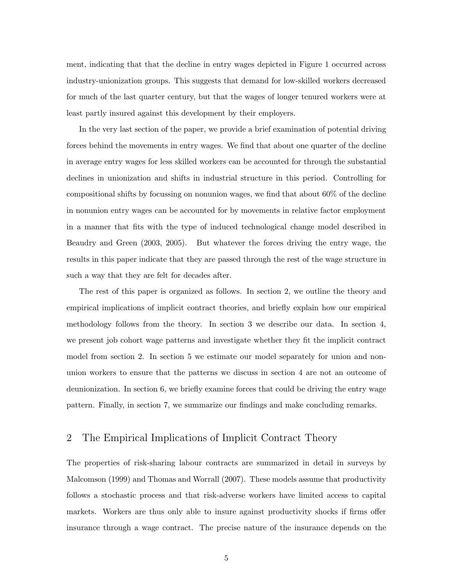ment, indicating that that the decline in entry wages depicted in Figure 1 occurred across industry-unionization groups. This suggests that demand for low-skilled workers decreased for much of the last quarter century, but that the wages of longer tenured workers were at least partly insured against this development by their employers.

In the very last section of the paper, we provide a brief examination of potential driving forces behind the movements in entry wages. We find that about one quarter of the decline in average entry wages for less skilled workers can be accounted for through the substantial declines in unionization and shifts in industrial structure in this period. Controlling for compositional shifts by focussing on nonunion wages, we find that about 60% of the decline in nonunion entry wages can be accounted for by movements in relative factor employment in a manner that fits with the type of induced technological change model described in Beaudry and Green (2003, 2005). But whatever the forces driving the entry wage, the results in this paper indicate that they are passed through the rest of the wage structure in such a way that they are felt for decades after.

The rest of this paper is organized as follows. In section 2, we outline the theory and empirical implications of implicit contract theories, and briefly explain how our empirical methodology follows from the theory. In section 3 we describe our data. In section 4, we present job cohort wage patterns and investigate whether they fit the implicit contract model from section 2. In section 5 we estimate our model separately for union and nonunion workers to ensure that the patterns we discuss in section 4 are not an outcome of deunionization. In section 6, we briefly examine forces that could be driving the entry wage pattern. Finally, in section 7, we summarize our findings and make concluding remarks.

## 2 The Empirical Implications of Implicit Contract Theory

The properties of risk-sharing labour contracts are summarized in detail in surveys by Malcomson (1999) and Thomas and Worrall (2007). These models assume that productivity follows a stochastic process and that risk-adverse workers have limited access to capital markets. Workers are thus only able to insure against productivity shocks if firms offer insurance through a wage contract. The precise nature of the insurance depends on the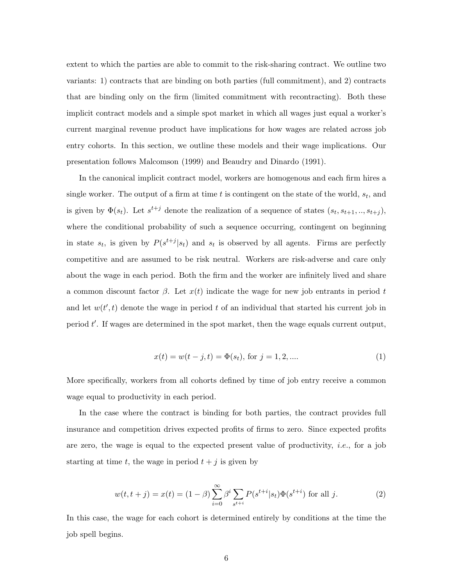extent to which the parties are able to commit to the risk-sharing contract. We outline two variants: 1) contracts that are binding on both parties (full commitment), and 2) contracts that are binding only on the firm (limited commitment with recontracting). Both these implicit contract models and a simple spot market in which all wages just equal a worker's current marginal revenue product have implications for how wages are related across job entry cohorts. In this section, we outline these models and their wage implications. Our presentation follows Malcomson (1999) and Beaudry and Dinardo (1991).

In the canonical implicit contract model, workers are homogenous and each firm hires a single worker. The output of a firm at time  $t$  is contingent on the state of the world,  $s_t$ , and is given by  $\Phi(s_t)$ . Let  $s^{t+j}$  denote the realization of a sequence of states  $(s_t, s_{t+1}, ..., s_{t+j})$ , where the conditional probability of such a sequence occurring, contingent on beginning in state  $s_t$ , is given by  $P(s^{t+j}|s_t)$  and  $s_t$  is observed by all agents. Firms are perfectly competitive and are assumed to be risk neutral. Workers are risk-adverse and care only about the wage in each period. Both the firm and the worker are infinitely lived and share a common discount factor  $\beta$ . Let  $x(t)$  indicate the wage for new job entrants in period t and let  $w(t',t)$  denote the wage in period t of an individual that started his current job in period t'. If wages are determined in the spot market, then the wage equals current output,

$$
x(t) = w(t - j, t) = \Phi(s_t), \text{ for } j = 1, 2, \dots
$$
 (1)

More specifically, workers from all cohorts defined by time of job entry receive a common wage equal to productivity in each period.

In the case where the contract is binding for both parties, the contract provides full insurance and competition drives expected profits of firms to zero. Since expected profits are zero, the wage is equal to the expected present value of productivity, i.e., for a job starting at time t, the wage in period  $t + j$  is given by

$$
w(t, t+j) = x(t) = (1 - \beta) \sum_{i=0}^{\infty} \beta^i \sum_{s^{t+i}} P(s^{t+i}|s_t) \Phi(s^{t+i})
$$
 for all j. (2)

In this case, the wage for each cohort is determined entirely by conditions at the time the job spell begins.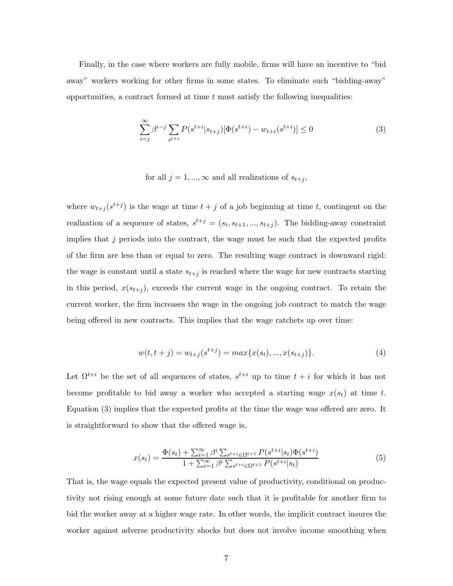Finally, in the case where workers are fully mobile, firms will have an incentive to "bid away" workers working for other firms in some states. To eliminate such "bidding-away" opportunities, a contract formed at time  $t$  must satisfy the following inequalities:

$$
\sum_{i=j}^{\infty} \beta^{i-j} \sum_{s^{t+i}} P(s^{t+i}|s_{t+j}) [\Phi(s^{t+i}) - w_{t+i}(s^{t+i})] \le 0
$$
\n(3)

for all  $j = 1, ..., \infty$  and all realizations of  $s_{t+j}$ ,

where  $w_{t+j}(s^{t+j})$  is the wage at time  $t+j$  of a job beginning at time t, contingent on the realization of a sequence of states,  $s^{t+j} = (s_t, s_{t+1}, ..., s_{t+j})$ . The bidding-away constraint implies that  $j$  periods into the contract, the wage must be such that the expected profits of the firm are less than or equal to zero. The resulting wage contract is downward rigid: the wage is constant until a state  $s_{t+j}$  is reached where the wage for new contracts starting in this period,  $x(s_{t+j})$ , exceeds the current wage in the ongoing contract. To retain the current worker, the firm increases the wage in the ongoing job contract to match the wage being offered in new contracts. This implies that the wage ratchets up over time:

$$
w(t, t + j) = w_{t+j}(s^{t+j}) = max\{x(s_t), ..., x(s_{t+j})\}.
$$
\n(4)

Let  $\Omega^{t+i}$  be the set of all sequences of states,  $s^{t+i}$  up to time  $t+i$  for which it has not become profitable to bid away a worker who accepted a starting wage  $x(s_t)$  at time t. Equation (3) implies that the expected profits at the time the wage was offered are zero. It is straightforward to show that the offered wage is,

$$
x(s_t) = \frac{\Phi(s_t) + \sum_{i=1}^{\infty} \beta^i \sum_{s^{t+i} \in \Omega^{t+1}} P(s^{t+i}|s_t) \Phi(s^{t+i})}{1 + \sum_{i=1}^{\infty} \beta^i \sum_{s^{t+i} \in \Omega^{t+1}} P(s^{t+i}|s_t)} \tag{5}
$$

That is, the wage equals the expected present value of productivity, conditional on productivity not rising enough at some future date such that it is profitable for another firm to bid the worker away at a higher wage rate. In other words, the implicit contract insures the worker against adverse productivity shocks but does not involve income smoothing when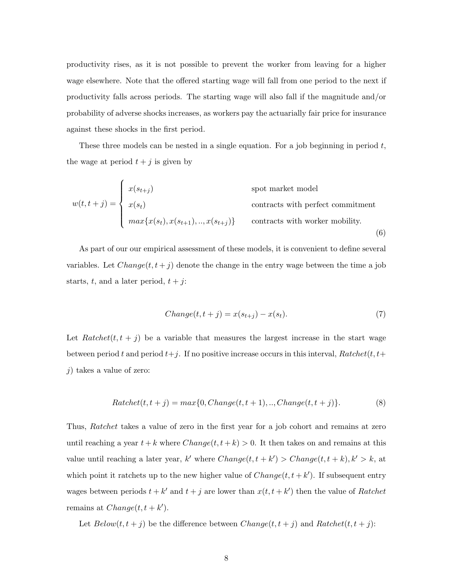productivity rises, as it is not possible to prevent the worker from leaving for a higher wage elsewhere. Note that the offered starting wage will fall from one period to the next if productivity falls across periods. The starting wage will also fall if the magnitude and/or probability of adverse shocks increases, as workers pay the actuarially fair price for insurance against these shocks in the first period.

These three models can be nested in a single equation. For a job beginning in period  $t$ , the wage at period  $t + j$  is given by

$$
w(t, t+j) = \begin{cases} x(s_{t+j}) & \text{spot market model} \\ x(s_t) & \text{contrast with perfect commitment} \\ \max\{x(s_t), x(s_{t+1}), \dots, x(s_{t+j})\} & \text{contrast with worker mobility.} \end{cases} \tag{6}
$$

As part of our our empirical assessment of these models, it is convenient to define several variables. Let  $Change(t, t + j)$  denote the change in the entry wage between the time a job starts,  $t$ , and a later period,  $t + j$ :

$$
Change(t, t + j) = x(s_{t+j}) - x(s_t). \tag{7}
$$

Let  $Ratchet(t, t + j)$  be a variable that measures the largest increase in the start wage between period t and period  $t+j$ . If no positive increase occurs in this interval,  $Ratehet(t, t+$ j) takes a value of zero:

$$
Ratehet(t, t+j) = max\{0, Change(t, t+1), \dots, Change(t, t+j)\}.
$$
\n
$$
(8)
$$

Thus, Ratchet takes a value of zero in the first year for a job cohort and remains at zero until reaching a year  $t + k$  where  $Change(t, t + k) > 0$ . It then takes on and remains at this value until reaching a later year, k' where  $Change(t, t + k') > Change(t, t + k), k' > k$ , at which point it ratchets up to the new higher value of  $Change(t, t + k')$ . If subsequent entry wages between periods  $t + k'$  and  $t + j$  are lower than  $x(t, t + k')$  then the value of Ratchet remains at  $Change(t, t + k')$ .

Let  $Below(t, t + j)$  be the difference between  $Change(t, t + j)$  and  $Ratehet(t, t + j)$ :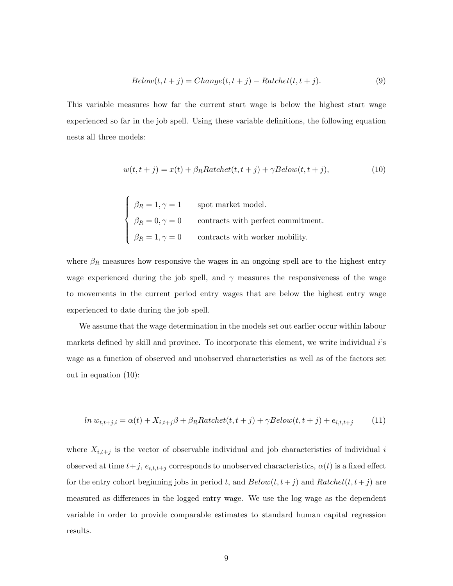$$
Below(t, t + j) = Change(t, t + j) - Ratehet(t, t + j). \tag{9}
$$

This variable measures how far the current start wage is below the highest start wage experienced so far in the job spell. Using these variable definitions, the following equation nests all three models:

$$
w(t, t+j) = x(t) + \beta_R Ratehet(t, t+j) + \gamma Below(t, t+j),
$$
\n(10)

$$
\begin{cases}\n\beta_R = 1, \gamma = 1 & \text{spot market model.} \\
\beta_R = 0, \gamma = 0 & \text{contrast with perfect commitment.} \\
\beta_R = 1, \gamma = 0 & \text{contrast with worker mobility.}\n\end{cases}
$$

where  $\beta_R$  measures how responsive the wages in an ongoing spell are to the highest entry wage experienced during the job spell, and  $\gamma$  measures the responsiveness of the wage to movements in the current period entry wages that are below the highest entry wage experienced to date during the job spell.

We assume that the wage determination in the models set out earlier occur within labour markets defined by skill and province. To incorporate this element, we write individual i's wage as a function of observed and unobserved characteristics as well as of the factors set out in equation (10):

$$
ln w_{t,t+j,i} = \alpha(t) + X_{i,t+j}\beta + \beta_R Ratehet(t,t+j) + \gamma Below(t,t+j) + e_{i,t,t+j}
$$
 (11)

where  $X_{i,t+j}$  is the vector of observable individual and job characteristics of individual i observed at time  $t+j$ ,  $e_{i,t,t+j}$  corresponds to unobserved characteristics,  $\alpha(t)$  is a fixed effect for the entry cohort beginning jobs in period t, and  $Below(t, t+j)$  and  $Ratehet(t, t+j)$  are measured as differences in the logged entry wage. We use the log wage as the dependent variable in order to provide comparable estimates to standard human capital regression results.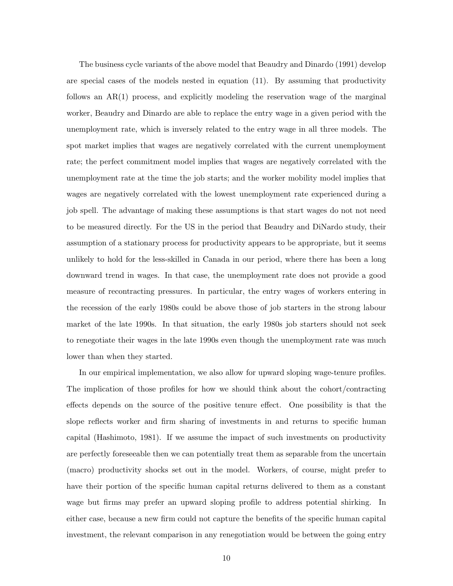The business cycle variants of the above model that Beaudry and Dinardo (1991) develop are special cases of the models nested in equation (11). By assuming that productivity follows an AR(1) process, and explicitly modeling the reservation wage of the marginal worker, Beaudry and Dinardo are able to replace the entry wage in a given period with the unemployment rate, which is inversely related to the entry wage in all three models. The spot market implies that wages are negatively correlated with the current unemployment rate; the perfect commitment model implies that wages are negatively correlated with the unemployment rate at the time the job starts; and the worker mobility model implies that wages are negatively correlated with the lowest unemployment rate experienced during a job spell. The advantage of making these assumptions is that start wages do not not need to be measured directly. For the US in the period that Beaudry and DiNardo study, their assumption of a stationary process for productivity appears to be appropriate, but it seems unlikely to hold for the less-skilled in Canada in our period, where there has been a long downward trend in wages. In that case, the unemployment rate does not provide a good measure of recontracting pressures. In particular, the entry wages of workers entering in the recession of the early 1980s could be above those of job starters in the strong labour market of the late 1990s. In that situation, the early 1980s job starters should not seek to renegotiate their wages in the late 1990s even though the unemployment rate was much lower than when they started.

In our empirical implementation, we also allow for upward sloping wage-tenure profiles. The implication of those profiles for how we should think about the cohort/contracting effects depends on the source of the positive tenure effect. One possibility is that the slope reflects worker and firm sharing of investments in and returns to specific human capital (Hashimoto, 1981). If we assume the impact of such investments on productivity are perfectly foreseeable then we can potentially treat them as separable from the uncertain (macro) productivity shocks set out in the model. Workers, of course, might prefer to have their portion of the specific human capital returns delivered to them as a constant wage but firms may prefer an upward sloping profile to address potential shirking. In either case, because a new firm could not capture the benefits of the specific human capital investment, the relevant comparison in any renegotiation would be between the going entry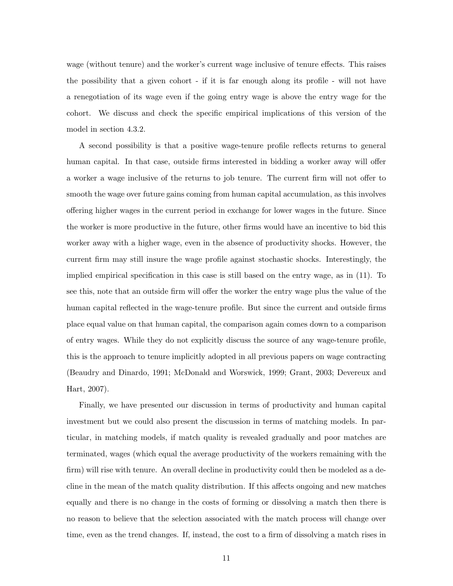wage (without tenure) and the worker's current wage inclusive of tenure effects. This raises the possibility that a given cohort - if it is far enough along its profile - will not have a renegotiation of its wage even if the going entry wage is above the entry wage for the cohort. We discuss and check the specific empirical implications of this version of the model in section 4.3.2.

A second possibility is that a positive wage-tenure profile reflects returns to general human capital. In that case, outside firms interested in bidding a worker away will offer a worker a wage inclusive of the returns to job tenure. The current firm will not offer to smooth the wage over future gains coming from human capital accumulation, as this involves offering higher wages in the current period in exchange for lower wages in the future. Since the worker is more productive in the future, other firms would have an incentive to bid this worker away with a higher wage, even in the absence of productivity shocks. However, the current firm may still insure the wage profile against stochastic shocks. Interestingly, the implied empirical specification in this case is still based on the entry wage, as in (11). To see this, note that an outside firm will offer the worker the entry wage plus the value of the human capital reflected in the wage-tenure profile. But since the current and outside firms place equal value on that human capital, the comparison again comes down to a comparison of entry wages. While they do not explicitly discuss the source of any wage-tenure profile, this is the approach to tenure implicitly adopted in all previous papers on wage contracting (Beaudry and Dinardo, 1991; McDonald and Worswick, 1999; Grant, 2003; Devereux and Hart, 2007).

Finally, we have presented our discussion in terms of productivity and human capital investment but we could also present the discussion in terms of matching models. In particular, in matching models, if match quality is revealed gradually and poor matches are terminated, wages (which equal the average productivity of the workers remaining with the firm) will rise with tenure. An overall decline in productivity could then be modeled as a decline in the mean of the match quality distribution. If this affects ongoing and new matches equally and there is no change in the costs of forming or dissolving a match then there is no reason to believe that the selection associated with the match process will change over time, even as the trend changes. If, instead, the cost to a firm of dissolving a match rises in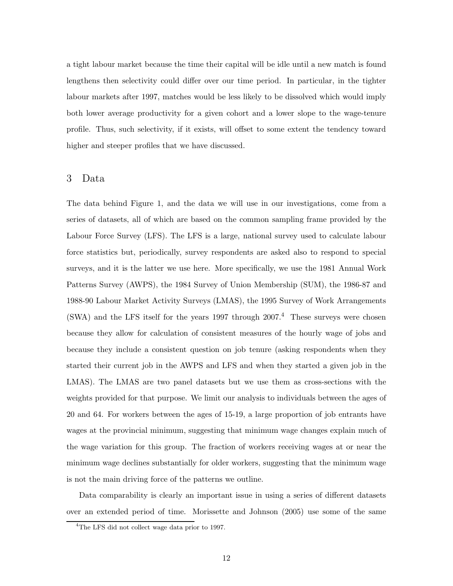a tight labour market because the time their capital will be idle until a new match is found lengthens then selectivity could differ over our time period. In particular, in the tighter labour markets after 1997, matches would be less likely to be dissolved which would imply both lower average productivity for a given cohort and a lower slope to the wage-tenure profile. Thus, such selectivity, if it exists, will offset to some extent the tendency toward higher and steeper profiles that we have discussed.

## 3 Data

The data behind Figure 1, and the data we will use in our investigations, come from a series of datasets, all of which are based on the common sampling frame provided by the Labour Force Survey (LFS). The LFS is a large, national survey used to calculate labour force statistics but, periodically, survey respondents are asked also to respond to special surveys, and it is the latter we use here. More specifically, we use the 1981 Annual Work Patterns Survey (AWPS), the 1984 Survey of Union Membership (SUM), the 1986-87 and 1988-90 Labour Market Activity Surveys (LMAS), the 1995 Survey of Work Arrangements (SWA) and the LFS itself for the years 1997 through  $2007<sup>4</sup>$  These surveys were chosen because they allow for calculation of consistent measures of the hourly wage of jobs and because they include a consistent question on job tenure (asking respondents when they started their current job in the AWPS and LFS and when they started a given job in the LMAS). The LMAS are two panel datasets but we use them as cross-sections with the weights provided for that purpose. We limit our analysis to individuals between the ages of 20 and 64. For workers between the ages of 15-19, a large proportion of job entrants have wages at the provincial minimum, suggesting that minimum wage changes explain much of the wage variation for this group. The fraction of workers receiving wages at or near the minimum wage declines substantially for older workers, suggesting that the minimum wage is not the main driving force of the patterns we outline.

Data comparability is clearly an important issue in using a series of different datasets over an extended period of time. Morissette and Johnson (2005) use some of the same

<sup>4</sup>The LFS did not collect wage data prior to 1997.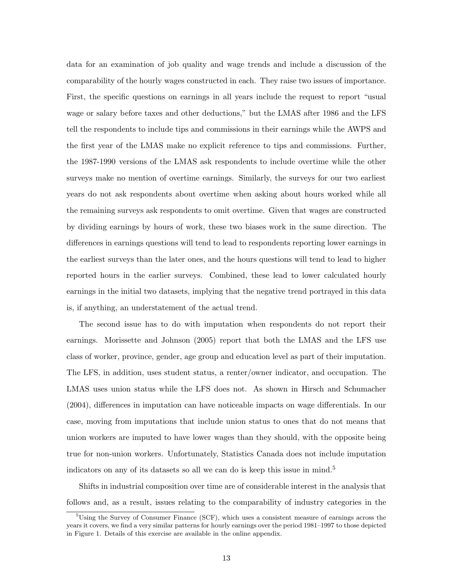data for an examination of job quality and wage trends and include a discussion of the comparability of the hourly wages constructed in each. They raise two issues of importance. First, the specific questions on earnings in all years include the request to report "usual wage or salary before taxes and other deductions," but the LMAS after 1986 and the LFS tell the respondents to include tips and commissions in their earnings while the AWPS and the first year of the LMAS make no explicit reference to tips and commissions. Further, the 1987-1990 versions of the LMAS ask respondents to include overtime while the other surveys make no mention of overtime earnings. Similarly, the surveys for our two earliest years do not ask respondents about overtime when asking about hours worked while all the remaining surveys ask respondents to omit overtime. Given that wages are constructed by dividing earnings by hours of work, these two biases work in the same direction. The differences in earnings questions will tend to lead to respondents reporting lower earnings in the earliest surveys than the later ones, and the hours questions will tend to lead to higher reported hours in the earlier surveys. Combined, these lead to lower calculated hourly earnings in the initial two datasets, implying that the negative trend portrayed in this data is, if anything, an understatement of the actual trend.

The second issue has to do with imputation when respondents do not report their earnings. Morissette and Johnson (2005) report that both the LMAS and the LFS use class of worker, province, gender, age group and education level as part of their imputation. The LFS, in addition, uses student status, a renter/owner indicator, and occupation. The LMAS uses union status while the LFS does not. As shown in Hirsch and Schumacher (2004), differences in imputation can have noticeable impacts on wage differentials. In our case, moving from imputations that include union status to ones that do not means that union workers are imputed to have lower wages than they should, with the opposite being true for non-union workers. Unfortunately, Statistics Canada does not include imputation indicators on any of its datasets so all we can do is keep this issue in mind.<sup>5</sup>

Shifts in industrial composition over time are of considerable interest in the analysis that follows and, as a result, issues relating to the comparability of industry categories in the

 $5\text{Using the Survey of Consumer Finance (SCF), which uses a consistent measure of earnings across the$ years it covers, we find a very similar patterns for hourly earnings over the period 1981–1997 to those depicted in Figure 1. Details of this exercise are available in the online appendix.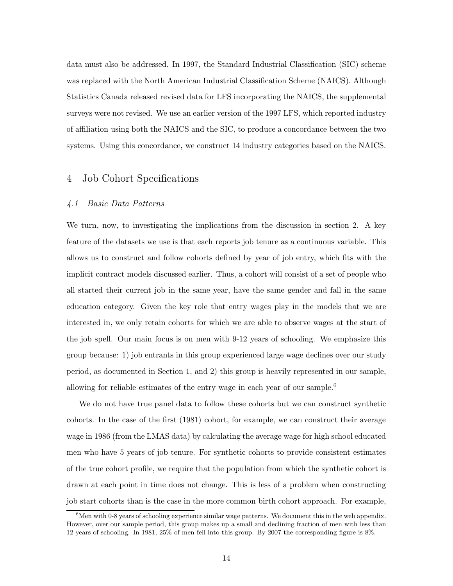data must also be addressed. In 1997, the Standard Industrial Classification (SIC) scheme was replaced with the North American Industrial Classification Scheme (NAICS). Although Statistics Canada released revised data for LFS incorporating the NAICS, the supplemental surveys were not revised. We use an earlier version of the 1997 LFS, which reported industry of affiliation using both the NAICS and the SIC, to produce a concordance between the two systems. Using this concordance, we construct 14 industry categories based on the NAICS.

## 4 Job Cohort Specifications

#### 4.1 Basic Data Patterns

We turn, now, to investigating the implications from the discussion in section 2. A key feature of the datasets we use is that each reports job tenure as a continuous variable. This allows us to construct and follow cohorts defined by year of job entry, which fits with the implicit contract models discussed earlier. Thus, a cohort will consist of a set of people who all started their current job in the same year, have the same gender and fall in the same education category. Given the key role that entry wages play in the models that we are interested in, we only retain cohorts for which we are able to observe wages at the start of the job spell. Our main focus is on men with 9-12 years of schooling. We emphasize this group because: 1) job entrants in this group experienced large wage declines over our study period, as documented in Section 1, and 2) this group is heavily represented in our sample, allowing for reliable estimates of the entry wage in each year of our sample.<sup>6</sup>

We do not have true panel data to follow these cohorts but we can construct synthetic cohorts. In the case of the first (1981) cohort, for example, we can construct their average wage in 1986 (from the LMAS data) by calculating the average wage for high school educated men who have 5 years of job tenure. For synthetic cohorts to provide consistent estimates of the true cohort profile, we require that the population from which the synthetic cohort is drawn at each point in time does not change. This is less of a problem when constructing job start cohorts than is the case in the more common birth cohort approach. For example,

 $6$ Men with 0-8 years of schooling experience similar wage patterns. We document this in the web appendix. However, over our sample period, this group makes up a small and declining fraction of men with less than 12 years of schooling. In 1981, 25% of men fell into this group. By 2007 the corresponding figure is 8%.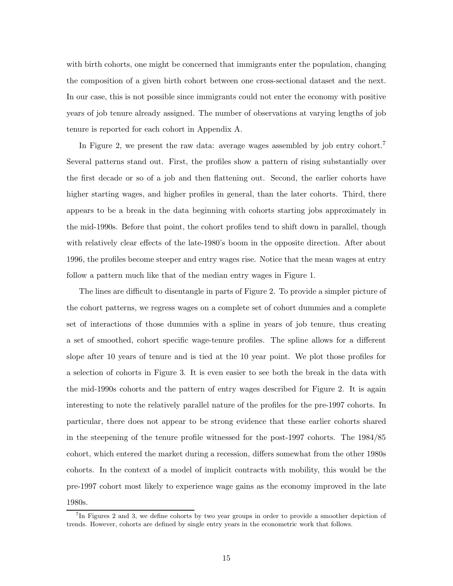with birth cohorts, one might be concerned that immigrants enter the population, changing the composition of a given birth cohort between one cross-sectional dataset and the next. In our case, this is not possible since immigrants could not enter the economy with positive years of job tenure already assigned. The number of observations at varying lengths of job tenure is reported for each cohort in Appendix A.

In Figure 2, we present the raw data: average wages assembled by job entry cohort.<sup>7</sup> Several patterns stand out. First, the profiles show a pattern of rising substantially over the first decade or so of a job and then flattening out. Second, the earlier cohorts have higher starting wages, and higher profiles in general, than the later cohorts. Third, there appears to be a break in the data beginning with cohorts starting jobs approximately in the mid-1990s. Before that point, the cohort profiles tend to shift down in parallel, though with relatively clear effects of the late-1980's boom in the opposite direction. After about 1996, the profiles become steeper and entry wages rise. Notice that the mean wages at entry follow a pattern much like that of the median entry wages in Figure 1.

The lines are difficult to disentangle in parts of Figure 2. To provide a simpler picture of the cohort patterns, we regress wages on a complete set of cohort dummies and a complete set of interactions of those dummies with a spline in years of job tenure, thus creating a set of smoothed, cohort specific wage-tenure profiles. The spline allows for a different slope after 10 years of tenure and is tied at the 10 year point. We plot those profiles for a selection of cohorts in Figure 3. It is even easier to see both the break in the data with the mid-1990s cohorts and the pattern of entry wages described for Figure 2. It is again interesting to note the relatively parallel nature of the profiles for the pre-1997 cohorts. In particular, there does not appear to be strong evidence that these earlier cohorts shared in the steepening of the tenure profile witnessed for the post-1997 cohorts. The 1984/85 cohort, which entered the market during a recession, differs somewhat from the other 1980s cohorts. In the context of a model of implicit contracts with mobility, this would be the pre-1997 cohort most likely to experience wage gains as the economy improved in the late 1980s.

<sup>&</sup>lt;sup>7</sup>In Figures 2 and 3, we define cohorts by two year groups in order to provide a smoother depiction of trends. However, cohorts are defined by single entry years in the econometric work that follows.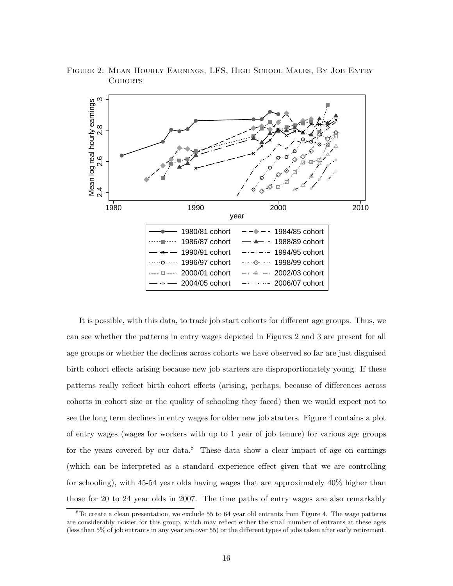Figure 2: Mean Hourly Earnings, LFS, High School Males, By Job Entry **COHORTS** 



It is possible, with this data, to track job start cohorts for different age groups. Thus, we can see whether the patterns in entry wages depicted in Figures 2 and 3 are present for all age groups or whether the declines across cohorts we have observed so far are just disguised birth cohort effects arising because new job starters are disproportionately young. If these patterns really reflect birth cohort effects (arising, perhaps, because of differences across cohorts in cohort size or the quality of schooling they faced) then we would expect not to see the long term declines in entry wages for older new job starters. Figure 4 contains a plot of entry wages (wages for workers with up to 1 year of job tenure) for various age groups for the years covered by our data.<sup>8</sup> These data show a clear impact of age on earnings (which can be interpreted as a standard experience effect given that we are controlling for schooling), with 45-54 year olds having wages that are approximately 40% higher than those for 20 to 24 year olds in 2007. The time paths of entry wages are also remarkably

 ${}^{8}$ To create a clean presentation, we exclude 55 to 64 year old entrants from Figure 4. The wage patterns are considerably noisier for this group, which may reflect either the small number of entrants at these ages (less than 5% of job entrants in any year are over 55) or the different types of jobs taken after early retirement.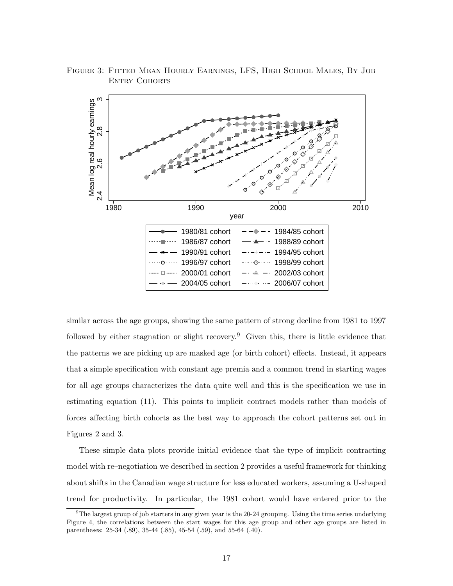Figure 3: Fitted Mean Hourly Earnings, LFS, High School Males, By Job ENTRY COHORTS



similar across the age groups, showing the same pattern of strong decline from 1981 to 1997 followed by either stagnation or slight recovery.<sup>9</sup> Given this, there is little evidence that the patterns we are picking up are masked age (or birth cohort) effects. Instead, it appears that a simple specification with constant age premia and a common trend in starting wages for all age groups characterizes the data quite well and this is the specification we use in estimating equation (11). This points to implicit contract models rather than models of forces affecting birth cohorts as the best way to approach the cohort patterns set out in Figures 2 and 3.

These simple data plots provide initial evidence that the type of implicit contracting model with re–negotiation we described in section 2 provides a useful framework for thinking about shifts in the Canadian wage structure for less educated workers, assuming a U-shaped trend for productivity. In particular, the 1981 cohort would have entered prior to the

<sup>&</sup>lt;sup>9</sup>The largest group of job starters in any given year is the 20-24 grouping. Using the time series underlying Figure 4, the correlations between the start wages for this age group and other age groups are listed in parentheses: 25-34 (.89), 35-44 (.85), 45-54 (.59), and 55-64 (.40).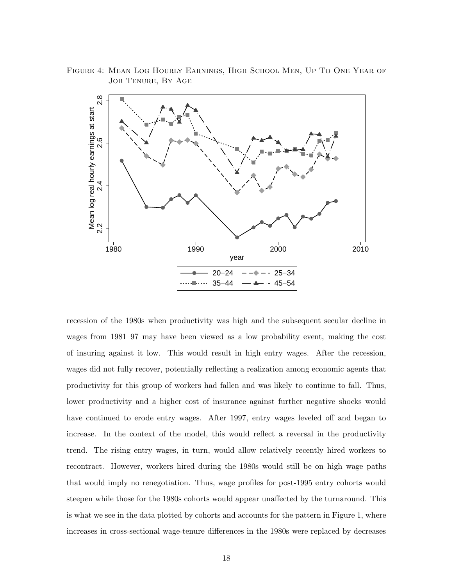Figure 4: Mean Log Hourly Earnings, High School Men, Up To One Year of Job Tenure, By Age



recession of the 1980s when productivity was high and the subsequent secular decline in wages from 1981–97 may have been viewed as a low probability event, making the cost of insuring against it low. This would result in high entry wages. After the recession, wages did not fully recover, potentially reflecting a realization among economic agents that productivity for this group of workers had fallen and was likely to continue to fall. Thus, lower productivity and a higher cost of insurance against further negative shocks would have continued to erode entry wages. After 1997, entry wages leveled off and began to increase. In the context of the model, this would reflect a reversal in the productivity trend. The rising entry wages, in turn, would allow relatively recently hired workers to recontract. However, workers hired during the 1980s would still be on high wage paths that would imply no renegotiation. Thus, wage profiles for post-1995 entry cohorts would steepen while those for the 1980s cohorts would appear unaffected by the turnaround. This is what we see in the data plotted by cohorts and accounts for the pattern in Figure 1, where increases in cross-sectional wage-tenure differences in the 1980s were replaced by decreases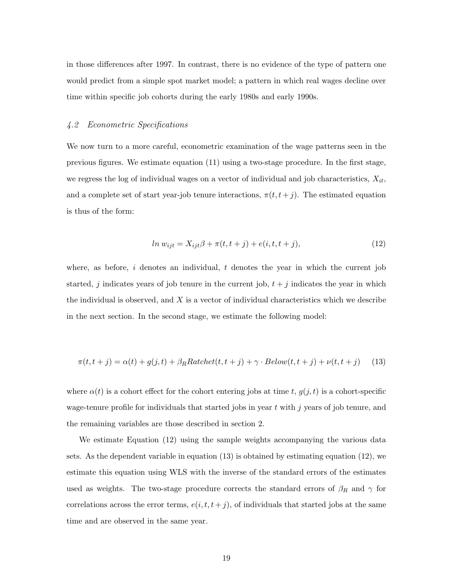in those differences after 1997. In contrast, there is no evidence of the type of pattern one would predict from a simple spot market model; a pattern in which real wages decline over time within specific job cohorts during the early 1980s and early 1990s.

#### 4.2 Econometric Specifications

We now turn to a more careful, econometric examination of the wage patterns seen in the previous figures. We estimate equation (11) using a two-stage procedure. In the first stage, we regress the log of individual wages on a vector of individual and job characteristics,  $X_{it}$ , and a complete set of start year-job tenure interactions,  $\pi(t, t + j)$ . The estimated equation is thus of the form:

$$
ln w_{ijt} = X_{ijt}\beta + \pi(t, t + j) + e(i, t, t + j),
$$
\n(12)

where, as before,  $i$  denotes an individual,  $t$  denotes the year in which the current job started, j indicates years of job tenure in the current job,  $t + j$  indicates the year in which the individual is observed, and  $X$  is a vector of individual characteristics which we describe in the next section. In the second stage, we estimate the following model:

$$
\pi(t, t+j) = \alpha(t) + g(j, t) + \beta_R Ratehet(t, t+j) + \gamma \cdot Below(t, t+j) + \nu(t, t+j)
$$
(13)

where  $\alpha(t)$  is a cohort effect for the cohort entering jobs at time t,  $g(j, t)$  is a cohort-specific wage-tenure profile for individuals that started jobs in year  $t$  with  $j$  years of job tenure, and the remaining variables are those described in section 2.

We estimate Equation (12) using the sample weights accompanying the various data sets. As the dependent variable in equation (13) is obtained by estimating equation (12), we estimate this equation using WLS with the inverse of the standard errors of the estimates used as weights. The two-stage procedure corrects the standard errors of  $\beta_R$  and  $\gamma$  for correlations across the error terms,  $e(i, t, t + j)$ , of individuals that started jobs at the same time and are observed in the same year.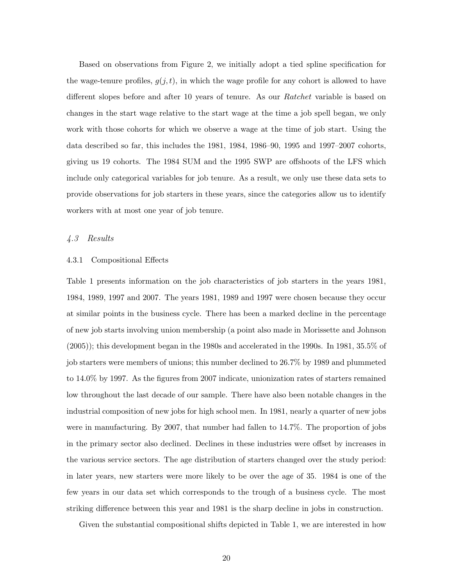Based on observations from Figure 2, we initially adopt a tied spline specification for the wage-tenure profiles,  $g(j, t)$ , in which the wage profile for any cohort is allowed to have different slopes before and after 10 years of tenure. As our Ratchet variable is based on changes in the start wage relative to the start wage at the time a job spell began, we only work with those cohorts for which we observe a wage at the time of job start. Using the data described so far, this includes the 1981, 1984, 1986–90, 1995 and 1997–2007 cohorts, giving us 19 cohorts. The 1984 SUM and the 1995 SWP are offshoots of the LFS which include only categorical variables for job tenure. As a result, we only use these data sets to provide observations for job starters in these years, since the categories allow us to identify workers with at most one year of job tenure.

#### 4.3 Results

#### 4.3.1 Compositional Effects

Table 1 presents information on the job characteristics of job starters in the years 1981, 1984, 1989, 1997 and 2007. The years 1981, 1989 and 1997 were chosen because they occur at similar points in the business cycle. There has been a marked decline in the percentage of new job starts involving union membership (a point also made in Morissette and Johnson (2005)); this development began in the 1980s and accelerated in the 1990s. In 1981, 35.5% of job starters were members of unions; this number declined to 26.7% by 1989 and plummeted to 14.0% by 1997. As the figures from 2007 indicate, unionization rates of starters remained low throughout the last decade of our sample. There have also been notable changes in the industrial composition of new jobs for high school men. In 1981, nearly a quarter of new jobs were in manufacturing. By 2007, that number had fallen to 14.7%. The proportion of jobs in the primary sector also declined. Declines in these industries were offset by increases in the various service sectors. The age distribution of starters changed over the study period: in later years, new starters were more likely to be over the age of 35. 1984 is one of the few years in our data set which corresponds to the trough of a business cycle. The most striking difference between this year and 1981 is the sharp decline in jobs in construction.

Given the substantial compositional shifts depicted in Table 1, we are interested in how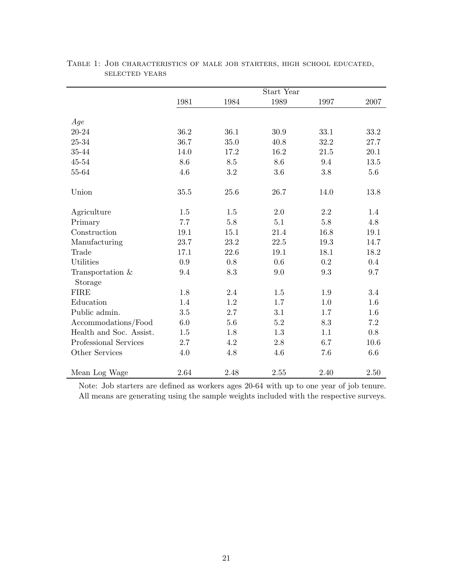|                                |          |           | Start Year |         |          |
|--------------------------------|----------|-----------|------------|---------|----------|
|                                | 1981     | 1984      | 1989       | 1997    | 2007     |
| Age                            |          |           |            |         |          |
| 20-24                          | 36.2     | 36.1      | 30.9       | 33.1    | 33.2     |
| 25-34                          | 36.7     | 35.0      | 40.8       | 32.2    | 27.7     |
| 35-44                          | 14.0     | 17.2      | 16.2       | 21.5    | $20.1\,$ |
| $45 - 54$                      | 8.6      | 8.5       | 8.6        | 9.4     | 13.5     |
| 55-64                          | 4.6      | $\!3.2\!$ | 3.6        | 3.8     | 5.6      |
| Union                          | $35.5\,$ | 25.6      | 26.7       | 14.0    | 13.8     |
| Agriculture                    | $1.5\,$  | $1.5\,$   | $2.0\,$    | $2.2\,$ | 1.4      |
| Primary                        | 7.7      | $5.8\,$   | 5.1        | 5.8     | 4.8      |
| Construction                   | 19.1     | 15.1      | 21.4       | 16.8    | 19.1     |
| Manufacturing                  | 23.7     | 23.2      | 22.5       | 19.3    | 14.7     |
| Trade                          | 17.1     | 22.6      | 19.1       | 18.1    | 18.2     |
| Utilities                      | 0.9      | 0.8       | 0.6        | 0.2     | 0.4      |
| Transportation $\&$<br>Storage | 9.4      | 8.3       | 9.0        | 9.3     | 9.7      |
| <b>FIRE</b>                    | 1.8      | 2.4       | 1.5        | 1.9     | 3.4      |
| Education                      | 1.4      | $1.2\,$   | 1.7        | 1.0     | 1.6      |
| Public admin.                  | 3.5      | 2.7       | 3.1        | 1.7     | 1.6      |
| Accommodations/Food            | $6.0\,$  | 5.6       | $5.2\,$    | 8.3     | 7.2      |
| Health and Soc. Assist.        | 1.5      | 1.8       | 1.3        | 1.1     | 0.8      |
| Professional Services          | 2.7      | 4.2       | 2.8        | 6.7     | 10.6     |
| Other Services                 | 4.0      | 4.8       | 4.6        | 7.6     | 6.6      |
| Mean Log Wage                  | 2.64     | 2.48      | 2.55       | 2.40    | 2.50     |

Table 1: Job characteristics of male job starters, high school educated, selected years

Note: Job starters are defined as workers ages 20-64 with up to one year of job tenure. All means are generating using the sample weights included with the respective surveys.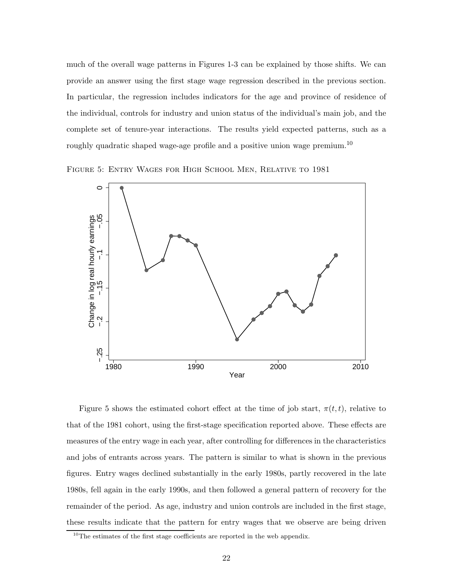much of the overall wage patterns in Figures 1-3 can be explained by those shifts. We can provide an answer using the first stage wage regression described in the previous section. In particular, the regression includes indicators for the age and province of residence of the individual, controls for industry and union status of the individual's main job, and the complete set of tenure-year interactions. The results yield expected patterns, such as a roughly quadratic shaped wage-age profile and a positive union wage premium.<sup>10</sup>

Figure 5: Entry Wages for High School Men, Relative to 1981



Figure 5 shows the estimated cohort effect at the time of job start,  $\pi(t, t)$ , relative to that of the 1981 cohort, using the first-stage specification reported above. These effects are measures of the entry wage in each year, after controlling for differences in the characteristics and jobs of entrants across years. The pattern is similar to what is shown in the previous figures. Entry wages declined substantially in the early 1980s, partly recovered in the late 1980s, fell again in the early 1990s, and then followed a general pattern of recovery for the remainder of the period. As age, industry and union controls are included in the first stage, these results indicate that the pattern for entry wages that we observe are being driven

<sup>&</sup>lt;sup>10</sup>The estimates of the first stage coefficients are reported in the web appendix.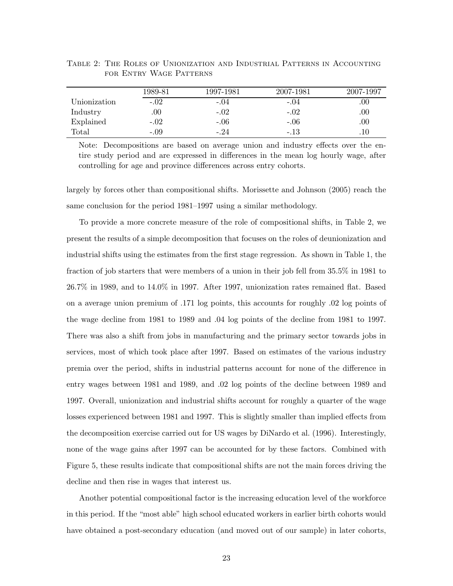|              | 1989-81 | 1997-1981 | 2007-1981 | 2007-1997 |
|--------------|---------|-----------|-----------|-----------|
| Unionization | $-.02$  | $-.04$    | $-.04$    | $_{00}$   |
| Industry     | $.00\,$ | $-.02$    | $-.02$    | .00.      |
| Explained    | $-.02$  | $-.06$    | $-.06$    | .00       |
| Total        | $-.09$  | $-.24$    | -.13      | .10       |

Table 2: The Roles of Unionization and Industrial Patterns in Accounting for Entry Wage Patterns

Note: Decompositions are based on average union and industry effects over the entire study period and are expressed in differences in the mean log hourly wage, after controlling for age and province differences across entry cohorts.

largely by forces other than compositional shifts. Morissette and Johnson (2005) reach the same conclusion for the period 1981–1997 using a similar methodology.

To provide a more concrete measure of the role of compositional shifts, in Table 2, we present the results of a simple decomposition that focuses on the roles of deunionization and industrial shifts using the estimates from the first stage regression. As shown in Table 1, the fraction of job starters that were members of a union in their job fell from 35.5% in 1981 to 26.7% in 1989, and to 14.0% in 1997. After 1997, unionization rates remained flat. Based on a average union premium of .171 log points, this accounts for roughly .02 log points of the wage decline from 1981 to 1989 and .04 log points of the decline from 1981 to 1997. There was also a shift from jobs in manufacturing and the primary sector towards jobs in services, most of which took place after 1997. Based on estimates of the various industry premia over the period, shifts in industrial patterns account for none of the difference in entry wages between 1981 and 1989, and .02 log points of the decline between 1989 and 1997. Overall, unionization and industrial shifts account for roughly a quarter of the wage losses experienced between 1981 and 1997. This is slightly smaller than implied effects from the decomposition exercise carried out for US wages by DiNardo et al. (1996). Interestingly, none of the wage gains after 1997 can be accounted for by these factors. Combined with Figure 5, these results indicate that compositional shifts are not the main forces driving the decline and then rise in wages that interest us.

Another potential compositional factor is the increasing education level of the workforce in this period. If the "most able" high school educated workers in earlier birth cohorts would have obtained a post-secondary education (and moved out of our sample) in later cohorts,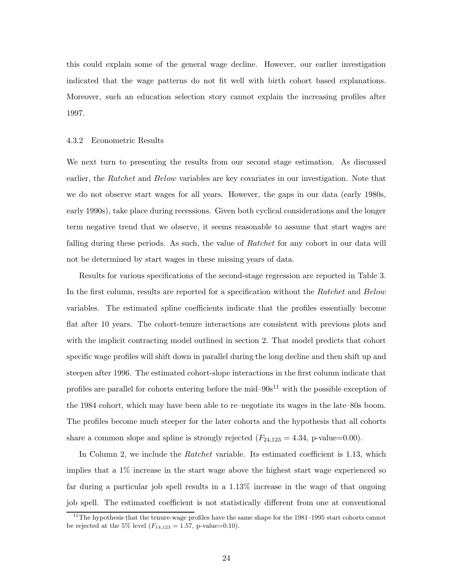this could explain some of the general wage decline. However, our earlier investigation indicated that the wage patterns do not fit well with birth cohort based explanations. Moreover, such an education selection story cannot explain the increasing profiles after 1997.

#### 4.3.2 Econometric Results

We next turn to presenting the results from our second stage estimation. As discussed earlier, the Ratchet and Below variables are key covariates in our investigation. Note that we do not observe start wages for all years. However, the gaps in our data (early 1980s, early 1990s), take place during recessions. Given both cyclical considerations and the longer term negative trend that we observe, it seems reasonable to assume that start wages are falling during these periods. As such, the value of *Ratchet* for any cohort in our data will not be determined by start wages in these missing years of data.

Results for various specifications of the second-stage regression are reported in Table 3. In the first column, results are reported for a specification without the Ratchet and Below variables. The estimated spline coefficients indicate that the profiles essentially become flat after 10 years. The cohort-tenure interactions are consistent with previous plots and with the implicit contracting model outlined in section 2. That model predicts that cohort specific wage profiles will shift down in parallel during the long decline and then shift up and steepen after 1996. The estimated cohort-slope interactions in the first column indicate that profiles are parallel for cohorts entering before the mid-90s<sup>11</sup> with the possible exception of the 1984 cohort, which may have been able to re–negotiate its wages in the late–80s boom. The profiles become much steeper for the later cohorts and the hypothesis that all cohorts share a common slope and spline is strongly rejected  $(F_{24,123} = 4.34, p-value=0.00)$ .

In Column 2, we include the *Ratchet* variable. Its estimated coefficient is 1.13, which implies that a 1% increase in the start wage above the highest start wage experienced so far during a particular job spell results in a 1.13% increase in the wage of that ongoing job spell. The estimated coefficient is not statistically different from one at conventional

 $11$ The hypothesis that the tenure-wage profiles have the same shape for the 1981–1995 start cohorts cannot be rejected at the 5% level  $(F_{14,123} = 1.57, \text{ p-value}=0.10)$ .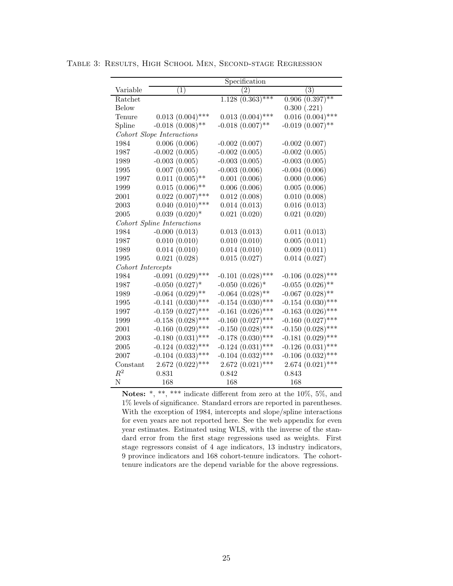|                   |                            | Specification          |                        |
|-------------------|----------------------------|------------------------|------------------------|
| Variable          | $\left( 1\right)$          | $\left( 2\right)$      | (3)                    |
| Ratchet           |                            | $1.128 \ (0.363)$ ***  | $0.906~(0.397)$ **     |
| <b>Below</b>      |                            |                        | $0.300$ $(.221)$       |
| Tenure            | $0.013(0.004)$ ***         | $0.013(0.004)$ ***     | $0.016~(0.004)$ ***    |
| Spline            | $-0.018$ $(0.008)$ **      | $-0.018$ $(0.007)$ **  | $-0.019(0.007)$ **     |
|                   | Cohort Slope Interactions  |                        |                        |
| 1984              | 0.006(0.006)               | $-0.002(0.007)$        | $-0.002(0.007)$        |
| 1987              | $-0.002(0.005)$            | $-0.002(0.005)$        | $-0.002(0.005)$        |
| 1989              | $-0.003(0.005)$            | $-0.003(0.005)$        | $-0.003(0.005)$        |
| 1995              | 0.007(0.005)               | $-0.003(0.006)$        | $-0.004(0.006)$        |
| 1997              | $0.011~(0.005)$ **         | 0.001(0.006)           | 0.000(0.006)           |
| 1999              | $0.015(0.006)$ **          | 0.006(0.006)           | 0.005(0.006)           |
| 2001              | $0.022~(0.007)$ ***        | 0.012(0.008)           | 0.010(0.008)           |
| 2003              | $0.040~(0.010)$ ***        | 0.014(0.013)           | 0.016(0.013)           |
| 2005              | $0.039(0.020)$ *           | 0.021(0.020)           | 0.021(0.020)           |
|                   | Cohort Spline Interactions |                        |                        |
| 1984              | $-0.000(0.013)$            | 0.013(0.013)           | 0.011(0.013)           |
| 1987              | 0.010(0.010)               | 0.010(0.010)           | 0.005(0.011)           |
| 1989              | 0.014(0.010)               | 0.014(0.010)           | 0.009(0.011)           |
| 1995              | 0.021(0.028)               | 0.015(0.027)           | 0.014(0.027)           |
| Cohort Intercepts |                            |                        |                        |
| 1984              | $-0.091~(0.029)$ ***       | $-0.101~(0.028)$ ***   | $-0.106$ $(0.028)$ *** |
| 1987              | $-0.050$ $(0.027)$ *       | $-0.050$ $(0.026)$ *   | $-0.055$ $(0.026)$ **  |
| 1989              | $-0.064~(0.029)$ **        | $-0.064~(0.028)$ **    | $-0.067~(0.028)$ **    |
| 1995              | $-0.141(0.030)$ ***        | $-0.154$ $(0.030)$ *** | $-0.154$ $(0.030)$ *** |
| 1997              | $-0.159$ $(0.027)$ ***     | $-0.161~(0.026)$ ***   | $-0.163$ $(0.026)$ *** |
| 1999              | $-0.158$ $(0.028)$ ***     | $-0.160~(0.027)$ ***   | $-0.160~(0.027)$ ***   |
| 2001              | $-0.160$ $(0.029)$ ***     | $-0.150$ $(0.028)$ *** | $-0.150~(0.028)$ ***   |
| 2003              | $-0.180(0.031)$ ***        | $-0.178~(0.030)$ ***   | $-0.181~(0.029)$ ***   |
| 2005              | $-0.124~(0.032)$ ***       | $-0.124~(0.031)$ ***   | $-0.126$ $(0.031)$ *** |
| 2007              | $-0.104~(0.033)$ ***       | $-0.104$ $(0.032)$ *** | $-0.106$ $(0.032)$ *** |
| Constant          | $2.672~(0.022)$ ***        | $2.672~(0.021)$ ***    | $2.674~(0.021)$ ***    |
| $\mathbb{R}^2$    | 0.831                      | 0.842                  | 0.843                  |
| $\mathbf N$       | 168                        | 168                    | 168                    |

Table 3: Results, High School Men, Second-stage Regression

Notes: \*, \*\*, \*\*\* indicate different from zero at the 10%, 5%, and 1% levels of significance. Standard errors are reported in parentheses. With the exception of 1984, intercepts and slope/spline interactions for even years are not reported here. See the web appendix for even year estimates. Estimated using WLS, with the inverse of the standard error from the first stage regressions used as weights. First stage regressors consist of 4 age indicators, 13 industry indicators, 9 province indicators and 168 cohort-tenure indicators. The cohorttenure indicators are the depend variable for the above regressions.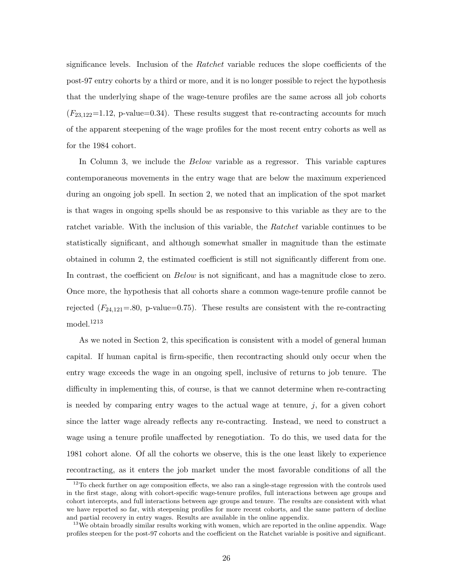significance levels. Inclusion of the Ratchet variable reduces the slope coefficients of the post-97 entry cohorts by a third or more, and it is no longer possible to reject the hypothesis that the underlying shape of the wage-tenure profiles are the same across all job cohorts  $(F_{23,122}=1.12, p-value=0.34)$ . These results suggest that re-contracting accounts for much of the apparent steepening of the wage profiles for the most recent entry cohorts as well as for the 1984 cohort.

In Column 3, we include the *Below* variable as a regressor. This variable captures contemporaneous movements in the entry wage that are below the maximum experienced during an ongoing job spell. In section 2, we noted that an implication of the spot market is that wages in ongoing spells should be as responsive to this variable as they are to the ratchet variable. With the inclusion of this variable, the Ratchet variable continues to be statistically significant, and although somewhat smaller in magnitude than the estimate obtained in column 2, the estimated coefficient is still not significantly different from one. In contrast, the coefficient on *Below* is not significant, and has a magnitude close to zero. Once more, the hypothesis that all cohorts share a common wage-tenure profile cannot be rejected  $(F_{24,121}=80, p-value=0.75)$ . These results are consistent with the re-contracting model.<sup>1213</sup>

As we noted in Section 2, this specification is consistent with a model of general human capital. If human capital is firm-specific, then recontracting should only occur when the entry wage exceeds the wage in an ongoing spell, inclusive of returns to job tenure. The difficulty in implementing this, of course, is that we cannot determine when re-contracting is needed by comparing entry wages to the actual wage at tenure,  $j$ , for a given cohort since the latter wage already reflects any re-contracting. Instead, we need to construct a wage using a tenure profile unaffected by renegotiation. To do this, we used data for the 1981 cohort alone. Of all the cohorts we observe, this is the one least likely to experience recontracting, as it enters the job market under the most favorable conditions of all the

 $12$ To check further on age composition effects, we also ran a single-stage regression with the controls used in the first stage, along with cohort-specific wage-tenure profiles, full interactions between age groups and cohort intercepts, and full interactions between age groups and tenure. The results are consistent with what we have reported so far, with steepening profiles for more recent cohorts, and the same pattern of decline and partial recovery in entry wages. Results are available in the online appendix.

<sup>&</sup>lt;sup>13</sup>We obtain broadly similar results working with women, which are reported in the online appendix. Wage profiles steepen for the post-97 cohorts and the coefficient on the Ratchet variable is positive and significant.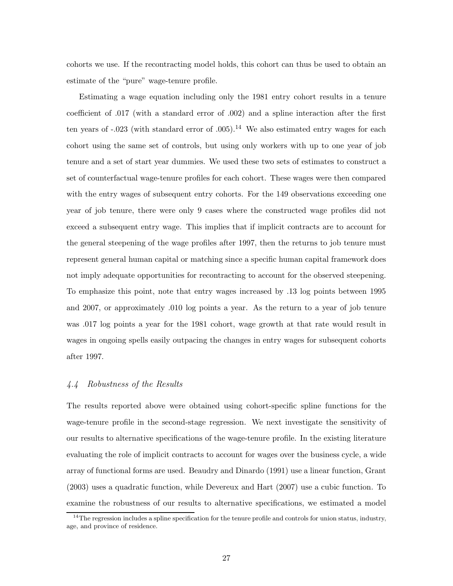cohorts we use. If the recontracting model holds, this cohort can thus be used to obtain an estimate of the "pure" wage-tenure profile.

Estimating a wage equation including only the 1981 entry cohort results in a tenure coefficient of .017 (with a standard error of .002) and a spline interaction after the first ten years of  $-.023$  (with standard error of  $.005$ ).<sup>14</sup> We also estimated entry wages for each cohort using the same set of controls, but using only workers with up to one year of job tenure and a set of start year dummies. We used these two sets of estimates to construct a set of counterfactual wage-tenure profiles for each cohort. These wages were then compared with the entry wages of subsequent entry cohorts. For the 149 observations exceeding one year of job tenure, there were only 9 cases where the constructed wage profiles did not exceed a subsequent entry wage. This implies that if implicit contracts are to account for the general steepening of the wage profiles after 1997, then the returns to job tenure must represent general human capital or matching since a specific human capital framework does not imply adequate opportunities for recontracting to account for the observed steepening. To emphasize this point, note that entry wages increased by .13 log points between 1995 and 2007, or approximately .010 log points a year. As the return to a year of job tenure was .017 log points a year for the 1981 cohort, wage growth at that rate would result in wages in ongoing spells easily outpacing the changes in entry wages for subsequent cohorts after 1997.

#### 4.4 Robustness of the Results

The results reported above were obtained using cohort-specific spline functions for the wage-tenure profile in the second-stage regression. We next investigate the sensitivity of our results to alternative specifications of the wage-tenure profile. In the existing literature evaluating the role of implicit contracts to account for wages over the business cycle, a wide array of functional forms are used. Beaudry and Dinardo (1991) use a linear function, Grant (2003) uses a quadratic function, while Devereux and Hart (2007) use a cubic function. To examine the robustness of our results to alternative specifications, we estimated a model

 $14$ The regression includes a spline specification for the tenure profile and controls for union status, industry, age, and province of residence.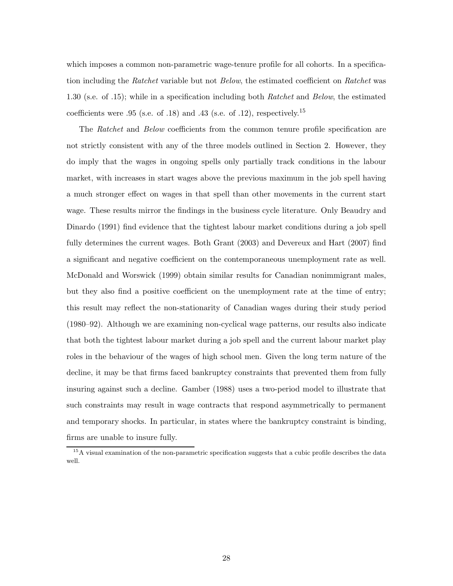which imposes a common non-parametric wage-tenure profile for all cohorts. In a specification including the Ratchet variable but not Below, the estimated coefficient on Ratchet was 1.30 (s.e. of .15); while in a specification including both Ratchet and Below, the estimated coefficients were  $.95$  (s.e. of  $.18$ ) and  $.43$  (s.e. of  $.12$ ), respectively.<sup>15</sup>

The Ratchet and Below coefficients from the common tenure profile specification are not strictly consistent with any of the three models outlined in Section 2. However, they do imply that the wages in ongoing spells only partially track conditions in the labour market, with increases in start wages above the previous maximum in the job spell having a much stronger effect on wages in that spell than other movements in the current start wage. These results mirror the findings in the business cycle literature. Only Beaudry and Dinardo (1991) find evidence that the tightest labour market conditions during a job spell fully determines the current wages. Both Grant (2003) and Devereux and Hart (2007) find a significant and negative coefficient on the contemporaneous unemployment rate as well. McDonald and Worswick (1999) obtain similar results for Canadian nonimmigrant males, but they also find a positive coefficient on the unemployment rate at the time of entry; this result may reflect the non-stationarity of Canadian wages during their study period (1980–92). Although we are examining non-cyclical wage patterns, our results also indicate that both the tightest labour market during a job spell and the current labour market play roles in the behaviour of the wages of high school men. Given the long term nature of the decline, it may be that firms faced bankruptcy constraints that prevented them from fully insuring against such a decline. Gamber (1988) uses a two-period model to illustrate that such constraints may result in wage contracts that respond asymmetrically to permanent and temporary shocks. In particular, in states where the bankruptcy constraint is binding, firms are unable to insure fully.

<sup>15</sup>A visual examination of the non-parametric specification suggests that a cubic profile describes the data well.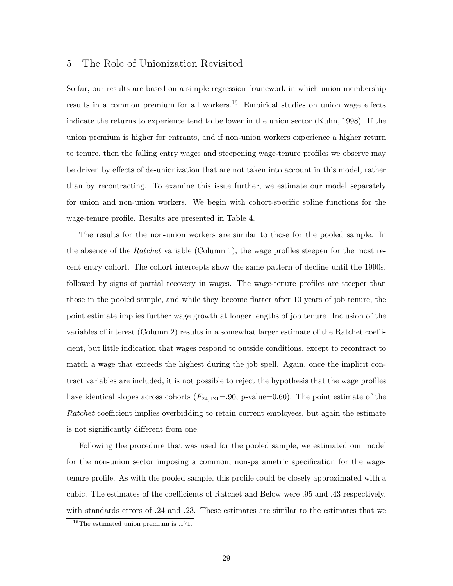# 5 The Role of Unionization Revisited

So far, our results are based on a simple regression framework in which union membership results in a common premium for all workers.<sup>16</sup> Empirical studies on union wage effects indicate the returns to experience tend to be lower in the union sector (Kuhn, 1998). If the union premium is higher for entrants, and if non-union workers experience a higher return to tenure, then the falling entry wages and steepening wage-tenure profiles we observe may be driven by effects of de-unionization that are not taken into account in this model, rather than by recontracting. To examine this issue further, we estimate our model separately for union and non-union workers. We begin with cohort-specific spline functions for the wage-tenure profile. Results are presented in Table 4.

The results for the non-union workers are similar to those for the pooled sample. In the absence of the *Ratchet* variable (Column 1), the wage profiles steepen for the most recent entry cohort. The cohort intercepts show the same pattern of decline until the 1990s, followed by signs of partial recovery in wages. The wage-tenure profiles are steeper than those in the pooled sample, and while they become flatter after 10 years of job tenure, the point estimate implies further wage growth at longer lengths of job tenure. Inclusion of the variables of interest (Column 2) results in a somewhat larger estimate of the Ratchet coefficient, but little indication that wages respond to outside conditions, except to recontract to match a wage that exceeds the highest during the job spell. Again, once the implicit contract variables are included, it is not possible to reject the hypothesis that the wage profiles have identical slopes across cohorts  $(F_{24,121}=0.90, \text{ p-value}=0.60)$ . The point estimate of the Ratchet coefficient implies overbidding to retain current employees, but again the estimate is not significantly different from one.

Following the procedure that was used for the pooled sample, we estimated our model for the non-union sector imposing a common, non-parametric specification for the wagetenure profile. As with the pooled sample, this profile could be closely approximated with a cubic. The estimates of the coefficients of Ratchet and Below were .95 and .43 respectively, with standards errors of .24 and .23. These estimates are similar to the estimates that we

<sup>&</sup>lt;sup>16</sup>The estimated union premium is .171.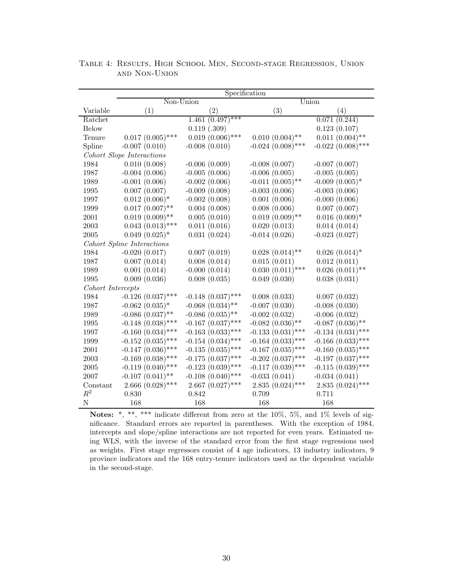|                   | Specification              |                                |                        |                        |  |  |
|-------------------|----------------------------|--------------------------------|------------------------|------------------------|--|--|
|                   | Non-Union                  |                                | Union                  |                        |  |  |
| Variable          | (1)                        | (2)                            | (3)                    | (4)                    |  |  |
| Ratchet           |                            | $1.\overline{461} (0.497)$ *** |                        | 0.071(0.244)           |  |  |
| <b>Below</b>      |                            | 0.119(.309)                    |                        | 0.123(0.107)           |  |  |
| Tenure            | $0.017~(0.005)$ ***        | $0.019~(0.006)$ ***            | $0.010~(0.004)$ **     | $0.011~(0.004)$ **     |  |  |
| Spline            | $-0.007(0.010)$            | $-0.008(0.010)$                | $-0.024~(0.008)$ ***   | $-0.022$ $(0.008)$ *** |  |  |
|                   | Cohort Slope Interactions  |                                |                        |                        |  |  |
| 1984              | 0.010(0.008)               | $-0.006(0.009)$                | $-0.008(0.007)$        | $-0.007(0.007)$        |  |  |
| 1987              | $-0.004(0.006)$            | $-0.005(0.006)$                | $-0.006(0.005)$        | $-0.005(0.005)$        |  |  |
| 1989              | $-0.001(0.006)$            | $-0.002(0.006)$                | $-0.011(0.005)$ **     | $-0.009(0.005)$ *      |  |  |
| 1995              | 0.007(0.007)               | $-0.009(0.008)$                | $-0.003(0.006)$        | $-0.003(0.006)$        |  |  |
| 1997              | $0.012~(0.006)*$           | $-0.002(0.008)$                | 0.001(0.006)           | $-0.000(0.006)$        |  |  |
| 1999              | $0.017~(0.007)$ **         | 0.004(0.008)                   | 0.008(0.006)           | 0.007(0.007)           |  |  |
| 2001              | $0.019(0.009)$ **          | 0.005(0.010)                   | $0.019(0.009)$ **      | $0.016~(0.009)*$       |  |  |
| 2003              | $0.043(0.013)$ ***         | 0.011(0.016)                   | 0.020(0.013)           | 0.014(0.014)           |  |  |
| 2005              | $0.049~(0.025)*$           | 0.031(0.024)                   | $-0.014(0.026)$        | $-0.023(0.027)$        |  |  |
|                   | Cohort Spline Interactions |                                |                        |                        |  |  |
| 1984              | $-0.020(0.017)$            | 0.007(0.019)                   | $0.028~(0.014)$ **     | $0.026~(0.014)*$       |  |  |
| 1987              | 0.007(0.014)               | 0.008(0.014)                   | 0.015(0.011)           | 0.012(0.011)           |  |  |
| 1989              | 0.001(0.014)               | $-0.000(0.014)$                | $0.030(0.011)$ ***     | $0.026(0.011)$ **      |  |  |
| 1995              | 0.009(0.036)               | 0.008(0.035)                   | 0.049(0.030)           | 0.038(0.031)           |  |  |
| Cohort Intercepts |                            |                                |                        |                        |  |  |
| 1984              | $-0.126$ $(0.037)$ ***     | $-0.148$ $(0.037)$ ***         | 0.008(0.033)           | 0.007(0.032)           |  |  |
| 1987              | $-0.062$ $(0.035)$ *       | $-0.068$ $(0.034)$ **          | $-0.007(0.030)$        | $-0.008(0.030)$        |  |  |
| 1989              | $-0.086$ $(0.037)$ **      | $-0.086$ $(0.035)$ **          | $-0.002(0.032)$        | $-0.006(0.032)$        |  |  |
| 1995              | $-0.148~(0.038)$ ***       | $-0.167$ $(0.037)$ ***         | $-0.082~(0.036)$ **    | $-0.087~(0.036)$ **    |  |  |
| 1997              | $-0.160~(0.034)$ ***       | $-0.163$ $(0.033)$ ***         | $-0.133(0.031)$ ***    | $-0.134~(0.031)$ ***   |  |  |
| 1999              | $-0.152$ $(0.035)$ ***     | $-0.154~(0.034)$ ***           | $-0.164$ $(0.033)$ *** | $-0.166$ $(0.033)$ *** |  |  |
| 2001              | $-0.147~(0.036)$ ***       | $-0.135(0.035)$ ***            | $-0.167$ $(0.035)$ *** | $-0.160$ $(0.035)$ *** |  |  |
| 2003              | $-0.169$ $(0.038)$ ***     | $-0.175$ $(0.037)$ ***         | $-0.202$ $(0.037)$ *** | $-0.197$ $(0.037)$ *** |  |  |
| 2005              | $-0.119(0.040)$ ***        | $-0.123(0.039)$ ***            | $-0.117(0.039)$ ***    | $-0.115(0.039)$ ***    |  |  |
| 2007              | $-0.107$ $(0.041)$ **      | $-0.108$ $(0.040)$ ***         | $-0.033(0.041)$        | $-0.034(0.041)$        |  |  |
| Constant          | $2.666(0.028)$ ***         | $2.667~(0.027)$ ***            | $2.835(0.024)$ ***     | $2.835(0.024)$ ***     |  |  |
| $\mathbb{R}^2$    | 0.830                      | 0.842                          | 0.709                  | 0.711                  |  |  |
| ${\rm N}$         | 168                        | 168                            | 168                    | 168                    |  |  |

Table 4: Results, High School Men, Second-stage Regression, Union and Non-Union

Notes: \*, \*\*, \*\*\* indicate different from zero at the 10%, 5%, and 1% levels of significance. Standard errors are reported in parentheses. With the exception of 1984, intercepts and slope/spline interactions are not reported for even years. Estimated using WLS, with the inverse of the standard error from the first stage regressions used as weights. First stage regressors consist of 4 age indicators, 13 industry indicators, 9 province indicators and the 168 entry-tenure indicators used as the dependent variable in the second-stage.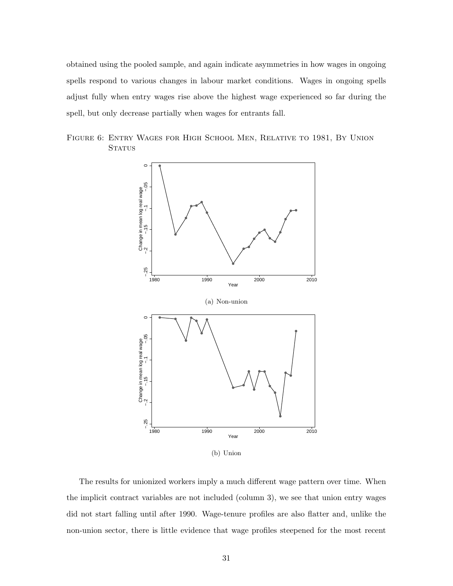obtained using the pooled sample, and again indicate asymmetries in how wages in ongoing spells respond to various changes in labour market conditions. Wages in ongoing spells adjust fully when entry wages rise above the highest wage experienced so far during the spell, but only decrease partially when wages for entrants fall.

Figure 6: Entry Wages for High School Men, Relative to 1981, By Union **STATUS** 



(b) Union

The results for unionized workers imply a much different wage pattern over time. When the implicit contract variables are not included (column 3), we see that union entry wages did not start falling until after 1990. Wage-tenure profiles are also flatter and, unlike the non-union sector, there is little evidence that wage profiles steepened for the most recent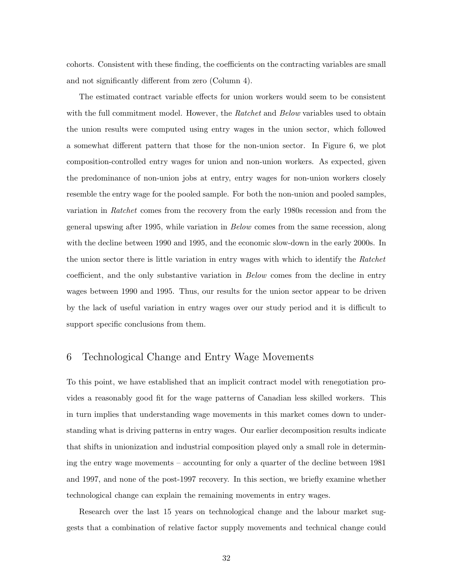cohorts. Consistent with these finding, the coefficients on the contracting variables are small and not significantly different from zero (Column 4).

The estimated contract variable effects for union workers would seem to be consistent with the full commitment model. However, the Ratchet and Below variables used to obtain the union results were computed using entry wages in the union sector, which followed a somewhat different pattern that those for the non-union sector. In Figure 6, we plot composition-controlled entry wages for union and non-union workers. As expected, given the predominance of non-union jobs at entry, entry wages for non-union workers closely resemble the entry wage for the pooled sample. For both the non-union and pooled samples, variation in Ratchet comes from the recovery from the early 1980s recession and from the general upswing after 1995, while variation in Below comes from the same recession, along with the decline between 1990 and 1995, and the economic slow-down in the early 2000s. In the union sector there is little variation in entry wages with which to identify the Ratchet coefficient, and the only substantive variation in Below comes from the decline in entry wages between 1990 and 1995. Thus, our results for the union sector appear to be driven by the lack of useful variation in entry wages over our study period and it is difficult to support specific conclusions from them.

# 6 Technological Change and Entry Wage Movements

To this point, we have established that an implicit contract model with renegotiation provides a reasonably good fit for the wage patterns of Canadian less skilled workers. This in turn implies that understanding wage movements in this market comes down to understanding what is driving patterns in entry wages. Our earlier decomposition results indicate that shifts in unionization and industrial composition played only a small role in determining the entry wage movements – accounting for only a quarter of the decline between 1981 and 1997, and none of the post-1997 recovery. In this section, we briefly examine whether technological change can explain the remaining movements in entry wages.

Research over the last 15 years on technological change and the labour market suggests that a combination of relative factor supply movements and technical change could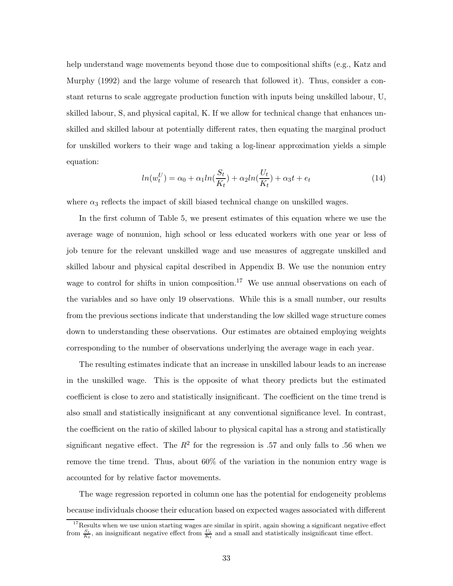help understand wage movements beyond those due to compositional shifts (e.g., Katz and Murphy (1992) and the large volume of research that followed it). Thus, consider a constant returns to scale aggregate production function with inputs being unskilled labour, U, skilled labour, S, and physical capital, K. If we allow for technical change that enhances unskilled and skilled labour at potentially different rates, then equating the marginal product for unskilled workers to their wage and taking a log-linear approximation yields a simple equation:

$$
ln(w_t^U) = \alpha_0 + \alpha_1 ln(\frac{S_t}{K_t}) + \alpha_2 ln(\frac{U_t}{K_t}) + \alpha_3 t + e_t
$$
\n(14)

where  $\alpha_3$  reflects the impact of skill biased technical change on unskilled wages.

In the first column of Table 5, we present estimates of this equation where we use the average wage of nonunion, high school or less educated workers with one year or less of job tenure for the relevant unskilled wage and use measures of aggregate unskilled and skilled labour and physical capital described in Appendix B. We use the nonunion entry wage to control for shifts in union composition.<sup>17</sup> We use annual observations on each of the variables and so have only 19 observations. While this is a small number, our results from the previous sections indicate that understanding the low skilled wage structure comes down to understanding these observations. Our estimates are obtained employing weights corresponding to the number of observations underlying the average wage in each year.

The resulting estimates indicate that an increase in unskilled labour leads to an increase in the unskilled wage. This is the opposite of what theory predicts but the estimated coefficient is close to zero and statistically insignificant. The coefficient on the time trend is also small and statistically insignificant at any conventional significance level. In contrast, the coefficient on the ratio of skilled labour to physical capital has a strong and statistically significant negative effect. The  $R^2$  for the regression is .57 and only falls to .56 when we remove the time trend. Thus, about 60% of the variation in the nonunion entry wage is accounted for by relative factor movements.

The wage regression reported in column one has the potential for endogeneity problems because individuals choose their education based on expected wages associated with different

<sup>&</sup>lt;sup>17</sup>Results when we use union starting wages are similar in spirit, again showing a significant negative effect from  $\frac{S_t}{K_t}$ , an insignificant negative effect from  $\frac{U_t}{K_t}$  and a small and statistically insignificant time effect.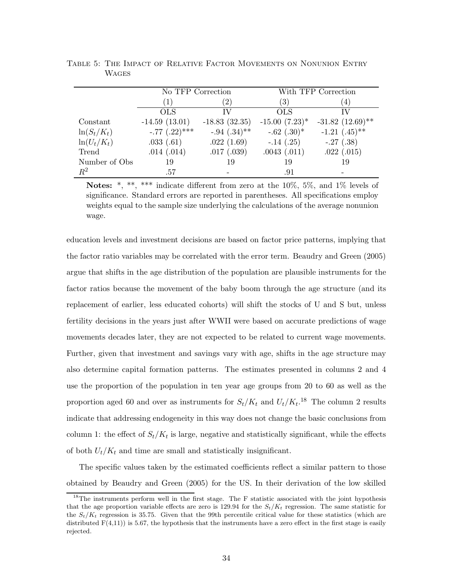|                | No TFP Correction        |                              |                  | With TFP Correction           |
|----------------|--------------------------|------------------------------|------------------|-------------------------------|
|                | $\left( 2\right)$<br>(1) |                              | (3)              | $\left(4\right)$              |
|                | <b>OLS</b>               | ΙV                           | OLS.             | ΙV                            |
| Constant       | $-14.59(13.01)$          | $-18.83(32.35)$              | $-15.00(7.23)$ * | $-31.82$ $(12.69)$ **         |
| $\ln(S_t/K_t)$ | $-.77$ $(.22)$ ***       | $-.94$ $(.34)$ <sup>**</sup> | $-.62$ $(.30)^*$ | $-1.21$ $(.45)$ <sup>**</sup> |
| $\ln(U_t/K_t)$ | .033(.61)                | .022(1.69)                   | $-.14(.25)$      | $-.27(.38)$                   |
| Trend          | .014(.014)               | .017(.039)                   | .0043(.011)      | .022(.015)                    |
| Number of Obs  | 19                       | 19                           | 19               | 19                            |
| $R^2$          | .57                      |                              | .91              |                               |

Table 5: The Impact of Relative Factor Movements on Nonunion Entry **WAGES** 

Notes: \*, \*\*, \*\*\* indicate different from zero at the  $10\%$ , 5%, and 1% levels of significance. Standard errors are reported in parentheses. All specifications employ weights equal to the sample size underlying the calculations of the average nonunion wage.

education levels and investment decisions are based on factor price patterns, implying that the factor ratio variables may be correlated with the error term. Beaudry and Green (2005) argue that shifts in the age distribution of the population are plausible instruments for the factor ratios because the movement of the baby boom through the age structure (and its replacement of earlier, less educated cohorts) will shift the stocks of U and S but, unless fertility decisions in the years just after WWII were based on accurate predictions of wage movements decades later, they are not expected to be related to current wage movements. Further, given that investment and savings vary with age, shifts in the age structure may also determine capital formation patterns. The estimates presented in columns 2 and 4 use the proportion of the population in ten year age groups from 20 to 60 as well as the proportion aged 60 and over as instruments for  $S_t/K_t$  and  $U_t/K_t$ .<sup>18</sup> The column 2 results indicate that addressing endogeneity in this way does not change the basic conclusions from column 1: the effect of  $S_t/K_t$  is large, negative and statistically significant, while the effects of both  $U_t/K_t$  and time are small and statistically insignificant.

The specific values taken by the estimated coefficients reflect a similar pattern to those obtained by Beaudry and Green (2005) for the US. In their derivation of the low skilled

<sup>&</sup>lt;sup>18</sup>The instruments perform well in the first stage. The F statistic associated with the joint hypothesis that the age proportion variable effects are zero is 129.94 for the  $S_t/K_t$  regression. The same statistic for the  $S_t/K_t$  regression is 35.75. Given that the 99th percentile critical value for these statistics (which are distributed  $F(4,11)$ ) is 5.67, the hypothesis that the instruments have a zero effect in the first stage is easily rejected.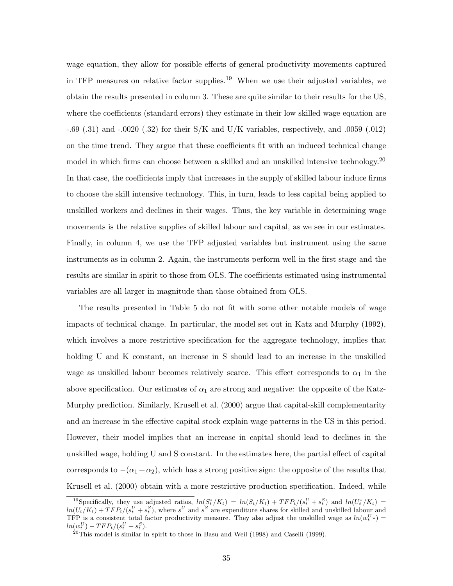wage equation, they allow for possible effects of general productivity movements captured in TFP measures on relative factor supplies.<sup>19</sup> When we use their adjusted variables, we obtain the results presented in column 3. These are quite similar to their results for the US, where the coefficients (standard errors) they estimate in their low skilled wage equation are  $-0.69$  (.31) and  $-0.0020$  (.32) for their S/K and U/K variables, respectively, and  $0.0059$  (.012) on the time trend. They argue that these coefficients fit with an induced technical change model in which firms can choose between a skilled and an unskilled intensive technology.<sup>20</sup> In that case, the coefficients imply that increases in the supply of skilled labour induce firms to choose the skill intensive technology. This, in turn, leads to less capital being applied to unskilled workers and declines in their wages. Thus, the key variable in determining wage movements is the relative supplies of skilled labour and capital, as we see in our estimates. Finally, in column 4, we use the TFP adjusted variables but instrument using the same instruments as in column 2. Again, the instruments perform well in the first stage and the results are similar in spirit to those from OLS. The coefficients estimated using instrumental variables are all larger in magnitude than those obtained from OLS.

The results presented in Table 5 do not fit with some other notable models of wage impacts of technical change. In particular, the model set out in Katz and Murphy (1992), which involves a more restrictive specification for the aggregate technology, implies that holding U and K constant, an increase in S should lead to an increase in the unskilled wage as unskilled labour becomes relatively scarce. This effect corresponds to  $\alpha_1$  in the above specification. Our estimates of  $\alpha_1$  are strong and negative: the opposite of the Katz-Murphy prediction. Similarly, Krusell et al. (2000) argue that capital-skill complementarity and an increase in the effective capital stock explain wage patterns in the US in this period. However, their model implies that an increase in capital should lead to declines in the unskilled wage, holding U and S constant. In the estimates here, the partial effect of capital corresponds to  $-(\alpha_1 + \alpha_2)$ , which has a strong positive sign: the opposite of the results that Krusell et al. (2000) obtain with a more restrictive production specification. Indeed, while

<sup>&</sup>lt;sup>19</sup>Specifically, they use adjusted ratios,  $ln(S_t^*/K_t) = ln(S_t/K_t) + TFP_t/(s_t^U + s_t^S)$  and  $ln(U_t^*/K_t) =$  $ln(U_t/K_t) + TFP_t/(s_t^U + s_t^S)$ , where  $s^U$  and  $s^S$  are expenditure shares for skilled and unskilled labour and TFP is a consistent total factor productivity measure. They also adjust the unskilled wage as  $ln(w_t^U*)$  $ln(w_t^U) - TFP_t/(s_t^U + s_t^S).$ 

 $^{20}$ This model is similar in spirit to those in Basu and Weil (1998) and Caselli (1999).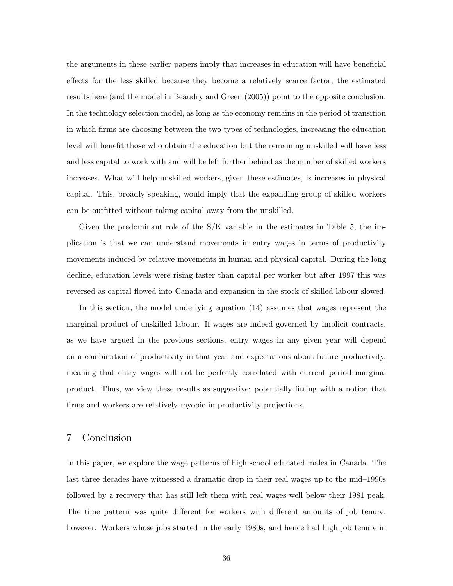the arguments in these earlier papers imply that increases in education will have beneficial effects for the less skilled because they become a relatively scarce factor, the estimated results here (and the model in Beaudry and Green (2005)) point to the opposite conclusion. In the technology selection model, as long as the economy remains in the period of transition in which firms are choosing between the two types of technologies, increasing the education level will benefit those who obtain the education but the remaining unskilled will have less and less capital to work with and will be left further behind as the number of skilled workers increases. What will help unskilled workers, given these estimates, is increases in physical capital. This, broadly speaking, would imply that the expanding group of skilled workers can be outfitted without taking capital away from the unskilled.

Given the predominant role of the  $S/K$  variable in the estimates in Table 5, the implication is that we can understand movements in entry wages in terms of productivity movements induced by relative movements in human and physical capital. During the long decline, education levels were rising faster than capital per worker but after 1997 this was reversed as capital flowed into Canada and expansion in the stock of skilled labour slowed.

In this section, the model underlying equation (14) assumes that wages represent the marginal product of unskilled labour. If wages are indeed governed by implicit contracts, as we have argued in the previous sections, entry wages in any given year will depend on a combination of productivity in that year and expectations about future productivity, meaning that entry wages will not be perfectly correlated with current period marginal product. Thus, we view these results as suggestive; potentially fitting with a notion that firms and workers are relatively myopic in productivity projections.

## 7 Conclusion

In this paper, we explore the wage patterns of high school educated males in Canada. The last three decades have witnessed a dramatic drop in their real wages up to the mid–1990s followed by a recovery that has still left them with real wages well below their 1981 peak. The time pattern was quite different for workers with different amounts of job tenure, however. Workers whose jobs started in the early 1980s, and hence had high job tenure in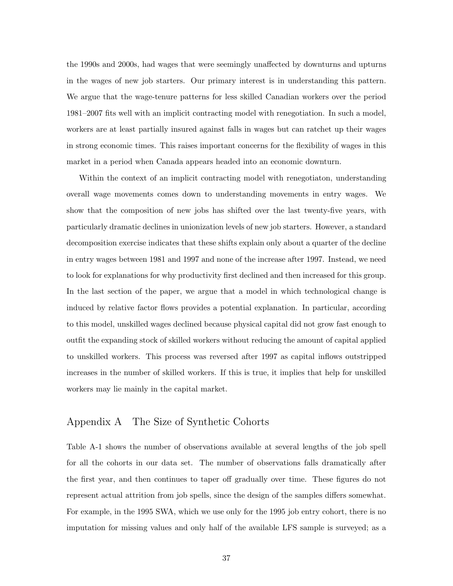the 1990s and 2000s, had wages that were seemingly unaffected by downturns and upturns in the wages of new job starters. Our primary interest is in understanding this pattern. We argue that the wage-tenure patterns for less skilled Canadian workers over the period 1981–2007 fits well with an implicit contracting model with renegotiation. In such a model, workers are at least partially insured against falls in wages but can ratchet up their wages in strong economic times. This raises important concerns for the flexibility of wages in this market in a period when Canada appears headed into an economic downturn.

Within the context of an implicit contracting model with renegotiaton, understanding overall wage movements comes down to understanding movements in entry wages. We show that the composition of new jobs has shifted over the last twenty-five years, with particularly dramatic declines in unionization levels of new job starters. However, a standard decomposition exercise indicates that these shifts explain only about a quarter of the decline in entry wages between 1981 and 1997 and none of the increase after 1997. Instead, we need to look for explanations for why productivity first declined and then increased for this group. In the last section of the paper, we argue that a model in which technological change is induced by relative factor flows provides a potential explanation. In particular, according to this model, unskilled wages declined because physical capital did not grow fast enough to outfit the expanding stock of skilled workers without reducing the amount of capital applied to unskilled workers. This process was reversed after 1997 as capital inflows outstripped increases in the number of skilled workers. If this is true, it implies that help for unskilled workers may lie mainly in the capital market.

# Appendix A The Size of Synthetic Cohorts

Table A-1 shows the number of observations available at several lengths of the job spell for all the cohorts in our data set. The number of observations falls dramatically after the first year, and then continues to taper off gradually over time. These figures do not represent actual attrition from job spells, since the design of the samples differs somewhat. For example, in the 1995 SWA, which we use only for the 1995 job entry cohort, there is no imputation for missing values and only half of the available LFS sample is surveyed; as a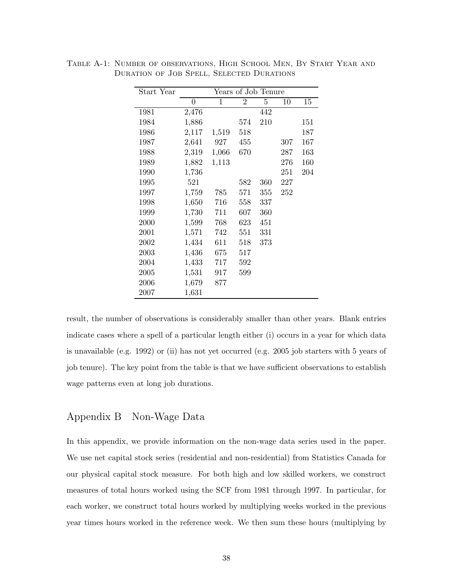| Start Year | Years of Job Tenure |       |     |     |     |     |
|------------|---------------------|-------|-----|-----|-----|-----|
|            | 0                   | 1     | 2   | 5   | 10  | 15  |
| 1981       | 2,476               |       |     | 442 |     |     |
| 1984       | 1,886               |       | 574 | 210 |     | 151 |
| 1986       | 2,117               | 1,519 | 518 |     |     | 187 |
| 1987       | 2,641               | 927   | 455 |     | 307 | 167 |
| 1988       | 2,319               | 1,066 | 670 |     | 287 | 163 |
| 1989       | 1,882               | 1,113 |     |     | 276 | 160 |
| 1990       | 1,736               |       |     |     | 251 | 204 |
| 1995       | 521                 |       | 582 | 360 | 227 |     |
| 1997       | 1,759               | 785   | 571 | 355 | 252 |     |
| 1998       | 1,650               | 716   | 558 | 337 |     |     |
| 1999       | 1,730               | 711   | 607 | 360 |     |     |
| 2000       | 1,599               | 768   | 623 | 451 |     |     |
| 2001       | 1,571               | 742   | 551 | 331 |     |     |
| 2002       | 1,434               | 611   | 518 | 373 |     |     |
| 2003       | 1,436               | 675   | 517 |     |     |     |
| 2004       | 1,433               | 717   | 592 |     |     |     |
| 2005       | 1,531               | 917   | 599 |     |     |     |
| 2006       | 1,679               | 877   |     |     |     |     |
| 2007       | 1,631               |       |     |     |     |     |

Table A-1: Number of observations, High School Men, By Start Year and Duration of Job Spell, Selected Durations

result, the number of observations is considerably smaller than other years. Blank entries indicate cases where a spell of a particular length either (i) occurs in a year for which data is unavailable (e.g. 1992) or (ii) has not yet occurred (e.g. 2005 job starters with 5 years of job tenure). The key point from the table is that we have sufficient observations to establish wage patterns even at long job durations.

# Appendix B Non-Wage Data

In this appendix, we provide information on the non-wage data series used in the paper. We use net capital stock series (residential and non-residential) from Statistics Canada for our physical capital stock measure. For both high and low skilled workers, we construct measures of total hours worked using the SCF from 1981 through 1997. In particular, for each worker, we construct total hours worked by multiplying weeks worked in the previous year times hours worked in the reference week. We then sum these hours (multiplying by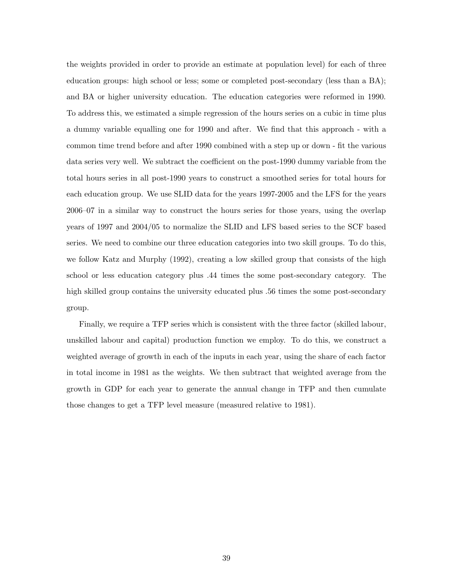the weights provided in order to provide an estimate at population level) for each of three education groups: high school or less; some or completed post-secondary (less than a BA); and BA or higher university education. The education categories were reformed in 1990. To address this, we estimated a simple regression of the hours series on a cubic in time plus a dummy variable equalling one for 1990 and after. We find that this approach - with a common time trend before and after 1990 combined with a step up or down - fit the various data series very well. We subtract the coefficient on the post-1990 dummy variable from the total hours series in all post-1990 years to construct a smoothed series for total hours for each education group. We use SLID data for the years 1997-2005 and the LFS for the years 2006–07 in a similar way to construct the hours series for those years, using the overlap years of 1997 and 2004/05 to normalize the SLID and LFS based series to the SCF based series. We need to combine our three education categories into two skill groups. To do this, we follow Katz and Murphy (1992), creating a low skilled group that consists of the high school or less education category plus .44 times the some post-secondary category. The high skilled group contains the university educated plus .56 times the some post-secondary group.

Finally, we require a TFP series which is consistent with the three factor (skilled labour, unskilled labour and capital) production function we employ. To do this, we construct a weighted average of growth in each of the inputs in each year, using the share of each factor in total income in 1981 as the weights. We then subtract that weighted average from the growth in GDP for each year to generate the annual change in TFP and then cumulate those changes to get a TFP level measure (measured relative to 1981).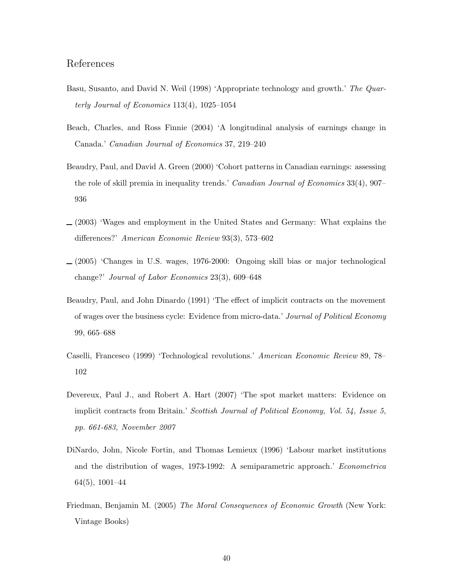# References

- Basu, Susanto, and David N. Weil (1998) 'Appropriate technology and growth.' The Quarterly Journal of Economics 113(4), 1025–1054
- Beach, Charles, and Ross Finnie (2004) 'A longitudinal analysis of earnings change in Canada.' Canadian Journal of Economics 37, 219–240
- Beaudry, Paul, and David A. Green (2000) 'Cohort patterns in Canadian earnings: assessing the role of skill premia in inequality trends.' Canadian Journal of Economics 33(4), 907– 936
- $(2003)$  'Wages and employment in the United States and Germany: What explains the differences?' American Economic Review 93(3), 573–602
- (2005) 'Changes in U.S. wages, 1976-2000: Ongoing skill bias or major technological change?' Journal of Labor Economics 23(3), 609–648
- Beaudry, Paul, and John Dinardo (1991) 'The effect of implicit contracts on the movement of wages over the business cycle: Evidence from micro-data.' Journal of Political Economy 99, 665–688
- Caselli, Francesco (1999) 'Technological revolutions.' American Economic Review 89, 78– 102
- Devereux, Paul J., and Robert A. Hart (2007) 'The spot market matters: Evidence on implicit contracts from Britain.' Scottish Journal of Political Economy, Vol. 54, Issue 5, pp. 661-683, November 2007
- DiNardo, John, Nicole Fortin, and Thomas Lemieux (1996) 'Labour market institutions and the distribution of wages, 1973-1992: A semiparametric approach.' Econometrica 64(5), 1001–44
- Friedman, Benjamin M. (2005) The Moral Consequences of Economic Growth (New York: Vintage Books)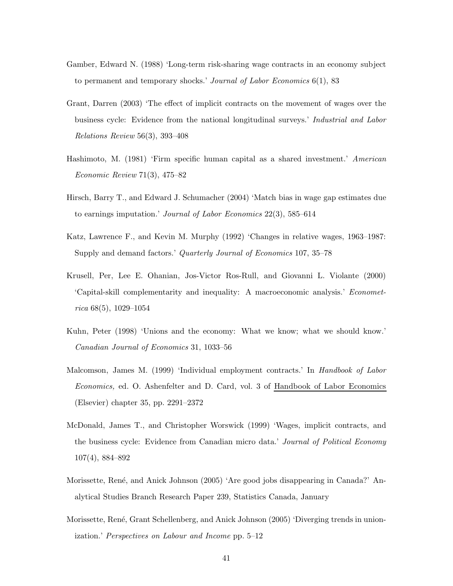- Gamber, Edward N. (1988) 'Long-term risk-sharing wage contracts in an economy subject to permanent and temporary shocks.' Journal of Labor Economics 6(1), 83
- Grant, Darren (2003) 'The effect of implicit contracts on the movement of wages over the business cycle: Evidence from the national longitudinal surveys.' Industrial and Labor Relations Review 56(3), 393–408
- Hashimoto, M. (1981) 'Firm specific human capital as a shared investment.' American Economic Review 71(3), 475–82
- Hirsch, Barry T., and Edward J. Schumacher (2004) 'Match bias in wage gap estimates due to earnings imputation.' Journal of Labor Economics 22(3), 585–614
- Katz, Lawrence F., and Kevin M. Murphy (1992) 'Changes in relative wages, 1963–1987: Supply and demand factors.' Quarterly Journal of Economics 107, 35–78
- Krusell, Per, Lee E. Ohanian, Jos-Victor Ros-Rull, and Giovanni L. Violante (2000) 'Capital-skill complementarity and inequality: A macroeconomic analysis.' Econometrica 68(5), 1029–1054
- Kuhn, Peter (1998) 'Unions and the economy: What we know; what we should know.' Canadian Journal of Economics 31, 1033–56
- Malcomson, James M. (1999) 'Individual employment contracts.' In Handbook of Labor Economics, ed. O. Ashenfelter and D. Card, vol. 3 of Handbook of Labor Economics (Elsevier) chapter 35, pp. 2291–2372
- McDonald, James T., and Christopher Worswick (1999) 'Wages, implicit contracts, and the business cycle: Evidence from Canadian micro data.' Journal of Political Economy 107(4), 884–892
- Morissette, René, and Anick Johnson (2005) 'Are good jobs disappearing in Canada?' Analytical Studies Branch Research Paper 239, Statistics Canada, January
- Morissette, René, Grant Schellenberg, and Anick Johnson (2005) 'Diverging trends in unionization.' Perspectives on Labour and Income pp. 5–12